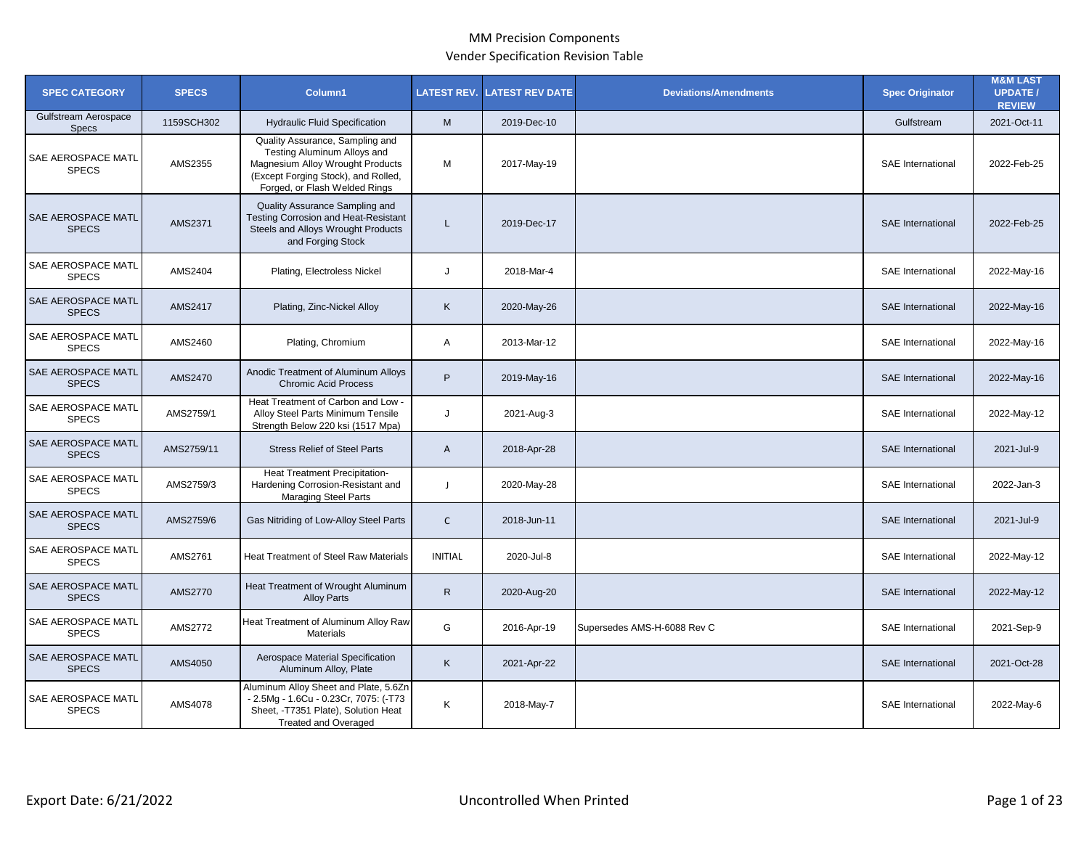| <b>SPEC CATEGORY</b>                 | <b>SPECS</b> | Column1                                                                                                                                                                    | <b>LATEST REV.</b> | <b>LATEST REV DATE</b> | <b>Deviations/Amendments</b> | <b>Spec Originator</b>   | <b>M&amp;M LAST</b><br><b>UPDATE /</b><br><b>REVIEW</b> |
|--------------------------------------|--------------|----------------------------------------------------------------------------------------------------------------------------------------------------------------------------|--------------------|------------------------|------------------------------|--------------------------|---------------------------------------------------------|
| Gulfstream Aerospace<br><b>Specs</b> | 1159SCH302   | <b>Hydraulic Fluid Specification</b>                                                                                                                                       | M                  | 2019-Dec-10            |                              | Gulfstream               | 2021-Oct-11                                             |
| SAE AEROSPACE MATL<br><b>SPECS</b>   | AMS2355      | Quality Assurance, Sampling and<br>Testing Aluminum Alloys and<br>Magnesium Alloy Wrought Products<br>(Except Forging Stock), and Rolled,<br>Forged, or Flash Welded Rings | М                  | 2017-May-19            |                              | SAE International        | 2022-Feb-25                                             |
| SAE AEROSPACE MATL<br><b>SPECS</b>   | AMS2371      | Quality Assurance Sampling and<br><b>Testing Corrosion and Heat-Resistant</b><br>Steels and Alloys Wrought Products<br>and Forging Stock                                   | L                  | 2019-Dec-17            |                              | <b>SAE</b> International | 2022-Feb-25                                             |
| SAE AEROSPACE MATL<br><b>SPECS</b>   | AMS2404      | Plating, Electroless Nickel                                                                                                                                                | J                  | 2018-Mar-4             |                              | <b>SAE</b> International | 2022-May-16                                             |
| SAE AEROSPACE MATL<br><b>SPECS</b>   | AMS2417      | Plating, Zinc-Nickel Alloy                                                                                                                                                 | K                  | 2020-May-26            |                              | <b>SAE</b> International | 2022-May-16                                             |
| SAE AEROSPACE MATL<br><b>SPECS</b>   | AMS2460      | Plating, Chromium                                                                                                                                                          | Α                  | 2013-Mar-12            |                              | <b>SAE</b> International | 2022-May-16                                             |
| SAE AEROSPACE MATL<br><b>SPECS</b>   | AMS2470      | Anodic Treatment of Aluminum Alloys<br><b>Chromic Acid Process</b>                                                                                                         | P                  | 2019-May-16            |                              | <b>SAE</b> International | 2022-May-16                                             |
| SAE AEROSPACE MATL<br><b>SPECS</b>   | AMS2759/1    | Heat Treatment of Carbon and Low -<br>Alloy Steel Parts Minimum Tensile<br>Strength Below 220 ksi (1517 Mpa)                                                               | J                  | 2021-Aug-3             |                              | SAE International        | 2022-May-12                                             |
| SAE AEROSPACE MATL<br><b>SPECS</b>   | AMS2759/11   | <b>Stress Relief of Steel Parts</b>                                                                                                                                        | $\mathsf{A}$       | 2018-Apr-28            |                              | <b>SAE</b> International | 2021-Jul-9                                              |
| SAE AEROSPACE MATL<br><b>SPECS</b>   | AMS2759/3    | Heat Treatment Precipitation-<br>Hardening Corrosion-Resistant and<br>Maraging Steel Parts                                                                                 | J                  | 2020-May-28            |                              | <b>SAE</b> International | 2022-Jan-3                                              |
| SAE AEROSPACE MATL<br><b>SPECS</b>   | AMS2759/6    | Gas Nitriding of Low-Alloy Steel Parts                                                                                                                                     | $\mathsf{C}$       | 2018-Jun-11            |                              | <b>SAE</b> International | 2021-Jul-9                                              |
| SAE AEROSPACE MATL<br><b>SPECS</b>   | AMS2761      | Heat Treatment of Steel Raw Materials                                                                                                                                      | <b>INITIAL</b>     | 2020-Jul-8             |                              | <b>SAE</b> International | 2022-May-12                                             |
| SAE AEROSPACE MATL<br><b>SPECS</b>   | AMS2770      | Heat Treatment of Wrought Aluminum<br><b>Alloy Parts</b>                                                                                                                   | $\mathsf{R}$       | 2020-Aug-20            |                              | <b>SAE</b> International | 2022-May-12                                             |
| SAE AEROSPACE MATL<br><b>SPECS</b>   | AMS2772      | Heat Treatment of Aluminum Alloy Raw<br>Materials                                                                                                                          | G                  | 2016-Apr-19            | Supersedes AMS-H-6088 Rev C  | SAE International        | 2021-Sep-9                                              |
| SAE AEROSPACE MATL<br><b>SPECS</b>   | AMS4050      | Aerospace Material Specification<br>Aluminum Alloy, Plate                                                                                                                  | K                  | 2021-Apr-22            |                              | <b>SAE</b> International | 2021-Oct-28                                             |
| SAE AEROSPACE MATL<br><b>SPECS</b>   | AMS4078      | Aluminum Alloy Sheet and Plate, 5.6Zn<br>- 2.5Mg - 1.6Cu - 0.23Cr, 7075: (-T73<br>Sheet, -T7351 Plate), Solution Heat<br><b>Treated and Overaged</b>                       | Κ                  | 2018-May-7             |                              | SAE International        | 2022-May-6                                              |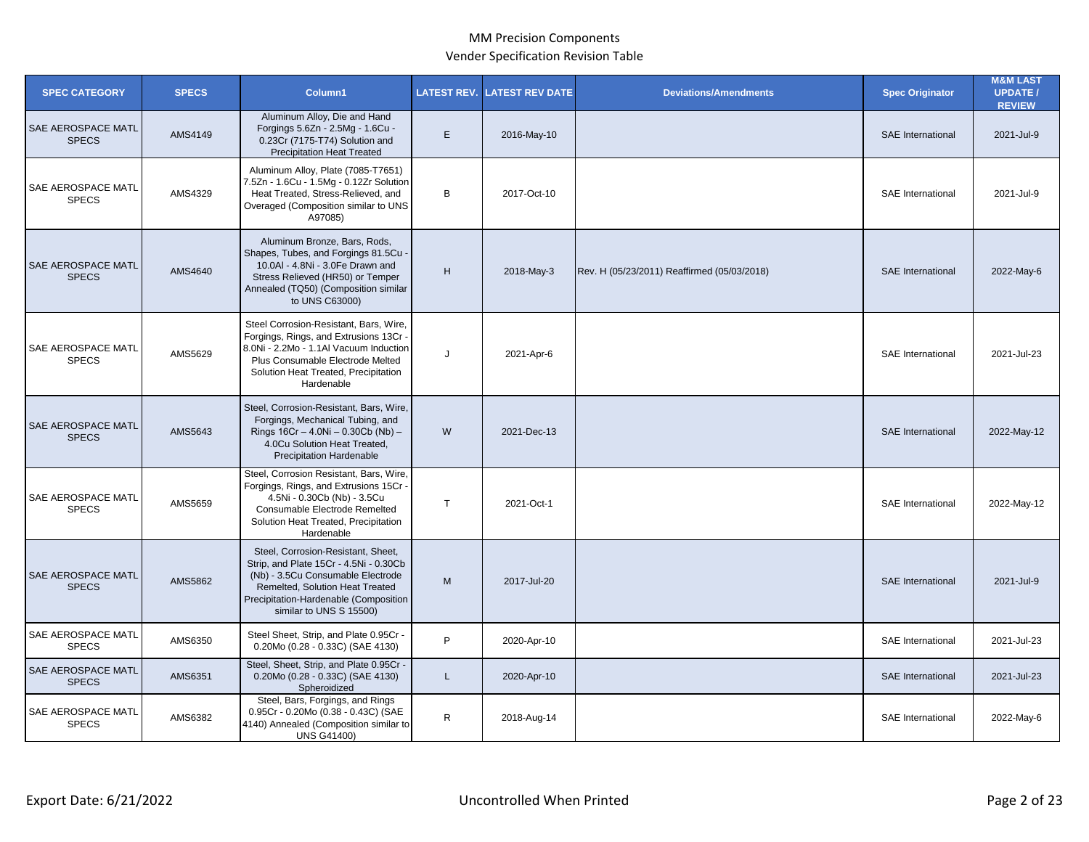| <b>SPEC CATEGORY</b>                      | <b>SPECS</b> | Column1                                                                                                                                                                                                                  | <b>LATEST REV.</b> | <b>LATEST REV DATE</b> | <b>Deviations/Amendments</b>                | <b>Spec Originator</b>   | <b>M&amp;M LAST</b><br><b>UPDATE/</b><br><b>REVIEW</b> |
|-------------------------------------------|--------------|--------------------------------------------------------------------------------------------------------------------------------------------------------------------------------------------------------------------------|--------------------|------------------------|---------------------------------------------|--------------------------|--------------------------------------------------------|
| SAE AEROSPACE MATL<br><b>SPECS</b>        | AMS4149      | Aluminum Alloy, Die and Hand<br>Forgings 5.6Zn - 2.5Mg - 1.6Cu -<br>0.23Cr (7175-T74) Solution and<br><b>Precipitation Heat Treated</b>                                                                                  | E                  | 2016-May-10            |                                             | <b>SAE</b> International | 2021-Jul-9                                             |
| SAE AEROSPACE MATL<br><b>SPECS</b>        | AMS4329      | Aluminum Alloy, Plate (7085-T7651)<br>7.5Zn - 1.6Cu - 1.5Mg - 0.12Zr Solution<br>Heat Treated, Stress-Relieved, and<br>Overaged (Composition similar to UNS<br>A97085)                                                   | B                  | 2017-Oct-10            |                                             | <b>SAE</b> International | 2021-Jul-9                                             |
| SAE AEROSPACE MATL<br><b>SPECS</b>        | AMS4640      | Aluminum Bronze, Bars, Rods,<br>Shapes, Tubes, and Forgings 81.5Cu -<br>10.0AI - 4.8Ni - 3.0Fe Drawn and<br>Stress Relieved (HR50) or Temper<br>Annealed (TQ50) (Composition similar<br>to UNS C63000)                   | H                  | 2018-May-3             | Rev. H (05/23/2011) Reaffirmed (05/03/2018) | <b>SAE</b> International | 2022-May-6                                             |
| SAE AEROSPACE MATL<br><b>SPECS</b>        | AMS5629      | Steel Corrosion-Resistant, Bars, Wire,<br>Forgings, Rings, and Extrusions 13Cr ·<br>8.0Ni - 2.2Mo - 1.1Al Vacuum Induction<br>Plus Consumable Electrode Melted<br>Solution Heat Treated, Precipitation<br>Hardenable     | J                  | 2021-Apr-6             |                                             | SAE International        | 2021-Jul-23                                            |
| <b>SAE AEROSPACE MATL</b><br><b>SPECS</b> | AMS5643      | Steel, Corrosion-Resistant, Bars, Wire,<br>Forgings, Mechanical Tubing, and<br>Rings 16Cr - 4.0Ni - 0.30Cb (Nb) -<br>4.0Cu Solution Heat Treated,<br><b>Precipitation Hardenable</b>                                     | W                  | 2021-Dec-13            |                                             | SAE International        | 2022-May-12                                            |
| SAE AEROSPACE MATL<br><b>SPECS</b>        | AMS5659      | Steel, Corrosion Resistant, Bars, Wire,<br>Forgings, Rings, and Extrusions 15Cr -<br>4.5Ni - 0.30Cb (Nb) - 3.5Cu<br>Consumable Electrode Remelted<br>Solution Heat Treated, Precipitation<br>Hardenable                  | $\mathsf{T}$       | 2021-Oct-1             |                                             | <b>SAE</b> International | 2022-May-12                                            |
| SAE AEROSPACE MATL<br><b>SPECS</b>        | AMS5862      | Steel, Corrosion-Resistant, Sheet,<br>Strip, and Plate 15Cr - 4.5Ni - 0.30Cb<br>(Nb) - 3.5Cu Consumable Electrode<br>Remelted, Solution Heat Treated<br>Precipitation-Hardenable (Composition<br>similar to UNS S 15500) | M                  | 2017-Jul-20            |                                             | SAE International        | 2021-Jul-9                                             |
| SAE AEROSPACE MATL<br><b>SPECS</b>        | AMS6350      | Steel Sheet, Strip, and Plate 0.95Cr -<br>0.20Mo (0.28 - 0.33C) (SAE 4130)                                                                                                                                               | P                  | 2020-Apr-10            |                                             | SAE International        | 2021-Jul-23                                            |
| SAE AEROSPACE MATL<br><b>SPECS</b>        | AMS6351      | Steel, Sheet, Strip, and Plate 0.95Cr -<br>0.20Mo (0.28 - 0.33C) (SAE 4130)<br>Spheroidized                                                                                                                              | L                  | 2020-Apr-10            |                                             | <b>SAE</b> International | 2021-Jul-23                                            |
| SAE AEROSPACE MATL<br><b>SPECS</b>        | AMS6382      | Steel, Bars, Forgings, and Rings<br>0.95Cr - 0.20Mo (0.38 - 0.43C) (SAE<br>4140) Annealed (Composition similar to<br><b>UNS G41400)</b>                                                                                  | $\mathsf{R}$       | 2018-Aug-14            |                                             | SAE International        | 2022-May-6                                             |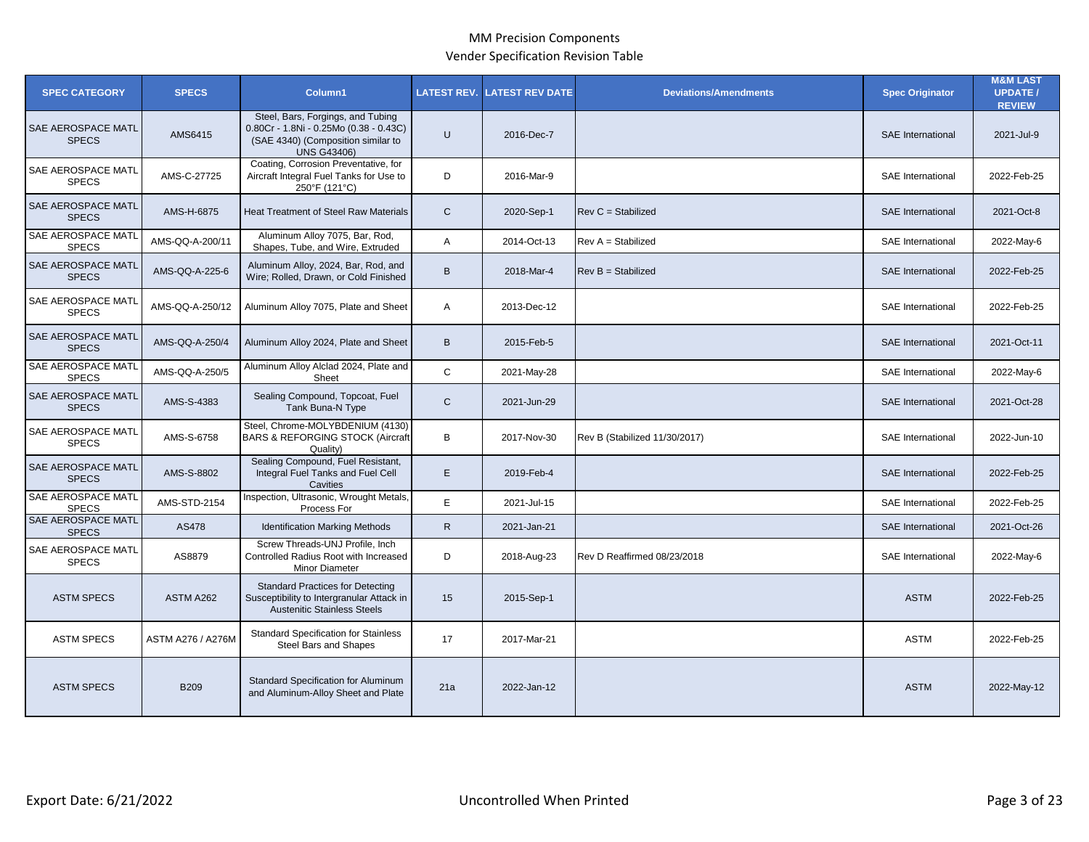| <b>SPEC CATEGORY</b>                      | <b>SPECS</b>        | Column1                                                                                                                                 | <b>LATEST REV.</b> | <b>LATEST REV DATE</b> | <b>Deviations/Amendments</b>  | <b>Spec Originator</b>   | <b>M&amp;M LAST</b><br><b>UPDATE /</b><br><b>REVIEW</b> |
|-------------------------------------------|---------------------|-----------------------------------------------------------------------------------------------------------------------------------------|--------------------|------------------------|-------------------------------|--------------------------|---------------------------------------------------------|
| <b>SAE AEROSPACE MATL</b><br><b>SPECS</b> | AMS6415             | Steel, Bars, Forgings, and Tubing<br>0.80Cr - 1.8Ni - 0.25Mo (0.38 - 0.43C)<br>(SAE 4340) (Composition similar to<br><b>UNS G43406)</b> | $\cup$             | 2016-Dec-7             |                               | <b>SAE</b> International | 2021-Jul-9                                              |
| SAE AEROSPACE MATL<br><b>SPECS</b>        | AMS-C-27725         | Coating, Corrosion Preventative, for<br>Aircraft Integral Fuel Tanks for Use to<br>250°F (121°C)                                        | D                  | 2016-Mar-9             |                               | <b>SAE</b> International | 2022-Feb-25                                             |
| SAE AEROSPACE MATL<br><b>SPECS</b>        | AMS-H-6875          | <b>Heat Treatment of Steel Raw Materials</b>                                                                                            | $\mathsf{C}$       | 2020-Sep-1             | $Rev C = Stabilized$          | <b>SAE</b> International | 2021-Oct-8                                              |
| SAE AEROSPACE MATL<br><b>SPECS</b>        | AMS-QQ-A-200/11     | Aluminum Alloy 7075, Bar, Rod,<br>Shapes, Tube, and Wire, Extruded                                                                      | Α                  | 2014-Oct-13            | $Rev A = Stabilized$          | <b>SAE</b> International | 2022-May-6                                              |
| SAE AEROSPACE MATL<br><b>SPECS</b>        | AMS-QQ-A-225-6      | Aluminum Alloy, 2024, Bar, Rod, and<br>Wire: Rolled, Drawn, or Cold Finished                                                            | $\sf B$            | 2018-Mar-4             | $Rev B = Stabilized$          | <b>SAE</b> International | 2022-Feb-25                                             |
| <b>SAE AEROSPACE MATL</b><br><b>SPECS</b> | AMS-QQ-A-250/12     | Aluminum Alloy 7075, Plate and Sheet                                                                                                    | Α                  | 2013-Dec-12            |                               | SAE International        | 2022-Feb-25                                             |
| <b>SAE AEROSPACE MATL</b><br><b>SPECS</b> | AMS-QQ-A-250/4      | Aluminum Alloy 2024, Plate and Sheet                                                                                                    | B                  | 2015-Feb-5             |                               | <b>SAE</b> International | 2021-Oct-11                                             |
| SAE AEROSPACE MATL<br><b>SPECS</b>        | AMS-QQ-A-250/5      | Aluminum Alloy Alclad 2024, Plate and<br>Sheet                                                                                          | $\mathsf{C}$       | 2021-May-28            |                               | <b>SAE</b> International | 2022-May-6                                              |
| SAE AEROSPACE MATL<br><b>SPECS</b>        | AMS-S-4383          | Sealing Compound, Topcoat, Fuel<br>Tank Buna-N Type                                                                                     | $\mathsf{C}$       | 2021-Jun-29            |                               | <b>SAE</b> International | 2021-Oct-28                                             |
| SAE AEROSPACE MATL<br><b>SPECS</b>        | AMS-S-6758          | Steel, Chrome-MOLYBDENIUM (4130)<br><b>BARS &amp; REFORGING STOCK (Aircraft</b><br>Quality)                                             | B                  | 2017-Nov-30            | Rev B (Stabilized 11/30/2017) | SAE International        | 2022-Jun-10                                             |
| SAE AEROSPACE MATL<br><b>SPECS</b>        | AMS-S-8802          | Sealing Compound, Fuel Resistant,<br>Integral Fuel Tanks and Fuel Cell<br>Cavities                                                      | E                  | 2019-Feb-4             |                               | <b>SAE</b> International | 2022-Feb-25                                             |
| SAE AEROSPACE MATL<br><b>SPECS</b>        | <b>AMS-STD-2154</b> | Inspection, Ultrasonic, Wrought Metals,<br>Process For                                                                                  | E.                 | 2021-Jul-15            |                               | <b>SAE</b> International | 2022-Feb-25                                             |
| SAE AEROSPACE MATL<br><b>SPECS</b>        | AS478               | <b>Identification Marking Methods</b>                                                                                                   | $\mathsf{R}$       | 2021-Jan-21            |                               | <b>SAE</b> International | 2021-Oct-26                                             |
| SAE AEROSPACE MATL<br><b>SPECS</b>        | AS8879              | Screw Threads-UNJ Profile, Inch<br>Controlled Radius Root with Increased<br>Minor Diameter                                              | D                  | 2018-Aug-23            | Rev D Reaffirmed 08/23/2018   | <b>SAE</b> International | 2022-May-6                                              |
| <b>ASTM SPECS</b>                         | ASTM A262           | <b>Standard Practices for Detecting</b><br>Susceptibility to Intergranular Attack in<br><b>Austenitic Stainless Steels</b>              | 15                 | 2015-Sep-1             |                               | <b>ASTM</b>              | 2022-Feb-25                                             |
| <b>ASTM SPECS</b>                         | ASTM A276 / A276M   | <b>Standard Specification for Stainless</b><br>Steel Bars and Shapes                                                                    | 17                 | 2017-Mar-21            |                               | <b>ASTM</b>              | 2022-Feb-25                                             |
| <b>ASTM SPECS</b>                         | <b>B209</b>         | Standard Specification for Aluminum<br>and Aluminum-Alloy Sheet and Plate                                                               | 21a                | 2022-Jan-12            |                               | <b>ASTM</b>              | 2022-May-12                                             |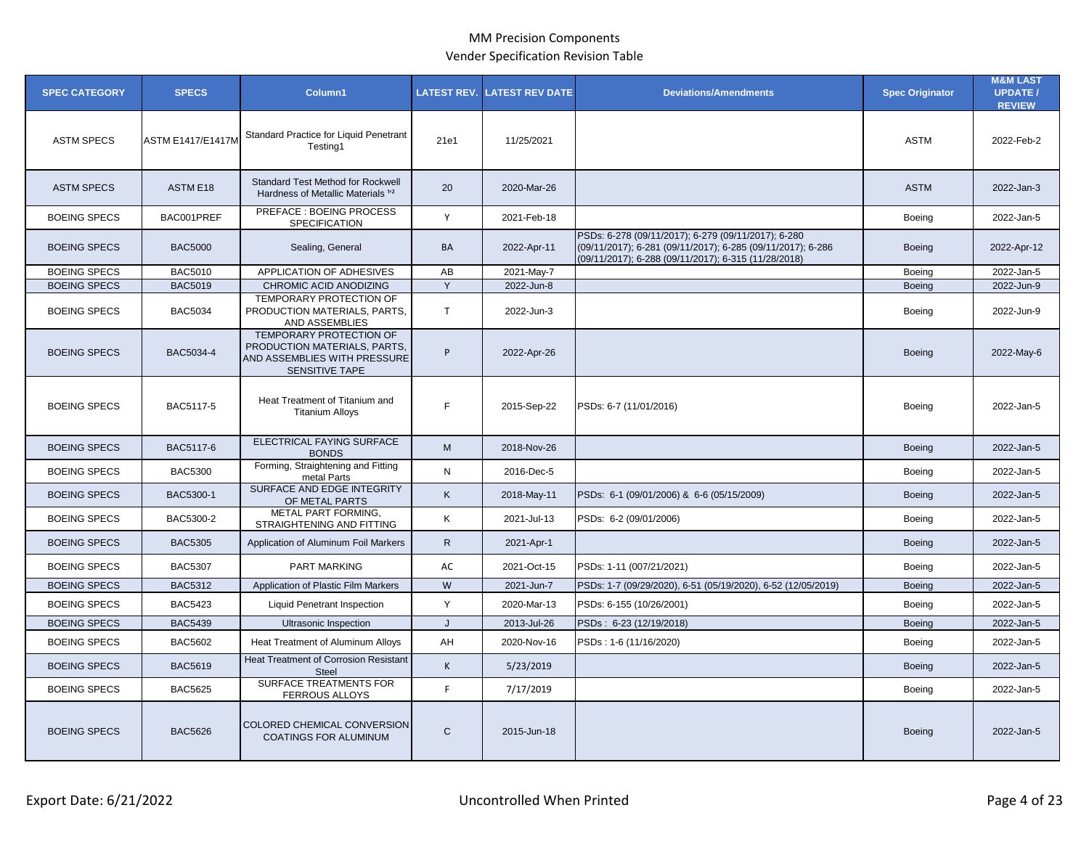| <b>SPEC CATEGORY</b> | <b>SPECS</b>             | Column1                                                                                                                 | <b>LATEST REV.</b> | <b>LATEST REV DATE</b> | <b>Deviations/Amendments</b>                                                                                                                                               | <b>Spec Originator</b> | <b>M&amp;M LAST</b><br><b>UPDATE /</b><br><b>REVIEW</b> |
|----------------------|--------------------------|-------------------------------------------------------------------------------------------------------------------------|--------------------|------------------------|----------------------------------------------------------------------------------------------------------------------------------------------------------------------------|------------------------|---------------------------------------------------------|
| <b>ASTM SPECS</b>    | <b>ASTM E1417/E1417M</b> | Standard Practice for Liquid Penetrant<br>Testing1                                                                      | 21e1               | 11/25/2021             |                                                                                                                                                                            | <b>ASTM</b>            | 2022-Feb-2                                              |
| <b>ASTM SPECS</b>    | ASTM E18                 | <b>Standard Test Method for Rockwell</b><br>Hardness of Metallic Materials <sup>12</sup>                                | 20                 | 2020-Mar-26            |                                                                                                                                                                            | <b>ASTM</b>            | 2022-Jan-3                                              |
| <b>BOEING SPECS</b>  | BAC001PREF               | PREFACE : BOEING PROCESS<br>SPECIFICATION                                                                               | Y                  | 2021-Feb-18            |                                                                                                                                                                            | Boeing                 | 2022-Jan-5                                              |
| <b>BOEING SPECS</b>  | <b>BAC5000</b>           | Sealing, General                                                                                                        | BA                 | 2022-Apr-11            | PSDs: 6-278 (09/11/2017); 6-279 (09/11/2017); 6-280<br>(09/11/2017); 6-281 (09/11/2017); 6-285 (09/11/2017); 6-286<br>(09/11/2017); 6-288 (09/11/2017); 6-315 (11/28/2018) | <b>Boeing</b>          | 2022-Apr-12                                             |
| <b>BOEING SPECS</b>  | <b>BAC5010</b>           | APPLICATION OF ADHESIVES                                                                                                | AB                 | 2021-May-7             |                                                                                                                                                                            | Boeing                 | 2022-Jan-5                                              |
| <b>BOEING SPECS</b>  | <b>BAC5019</b>           | CHROMIC ACID ANODIZING                                                                                                  | Y                  | 2022-Jun-8             |                                                                                                                                                                            | <b>Boeing</b>          | 2022-Jun-9                                              |
| <b>BOEING SPECS</b>  | <b>BAC5034</b>           | TEMPORARY PROTECTION OF<br>PRODUCTION MATERIALS, PARTS,<br>AND ASSEMBLIES                                               | T                  | 2022-Jun-3             |                                                                                                                                                                            | Boeing                 | 2022-Jun-9                                              |
| <b>BOEING SPECS</b>  | BAC5034-4                | <b>TEMPORARY PROTECTION OF</b><br>PRODUCTION MATERIALS, PARTS,<br>AND ASSEMBLIES WITH PRESSURE<br><b>SENSITIVE TAPE</b> | P                  | 2022-Apr-26            |                                                                                                                                                                            | <b>Boeing</b>          | 2022-May-6                                              |
| <b>BOEING SPECS</b>  | BAC5117-5                | Heat Treatment of Titanium and<br><b>Titanium Alloys</b>                                                                | F.                 | 2015-Sep-22            | PSDs: 6-7 (11/01/2016)                                                                                                                                                     | Boeing                 | 2022-Jan-5                                              |
| <b>BOEING SPECS</b>  | BAC5117-6                | ELECTRICAL FAYING SURFACE<br><b>BONDS</b>                                                                               | M                  | 2018-Nov-26            |                                                                                                                                                                            | <b>Boeing</b>          | 2022-Jan-5                                              |
| <b>BOEING SPECS</b>  | <b>BAC5300</b>           | Forming, Straightening and Fitting<br>metal Parts                                                                       | ${\sf N}$          | 2016-Dec-5             |                                                                                                                                                                            | Boeing                 | 2022-Jan-5                                              |
| <b>BOEING SPECS</b>  | BAC5300-1                | SURFACE AND EDGE INTEGRITY<br>OF METAL PARTS                                                                            | K                  | 2018-May-11            | PSDs: 6-1 (09/01/2006) & 6-6 (05/15/2009)                                                                                                                                  | <b>Boeing</b>          | 2022-Jan-5                                              |
| <b>BOEING SPECS</b>  | BAC5300-2                | METAL PART FORMING.<br>STRAIGHTENING AND FITTING                                                                        | Κ                  | 2021-Jul-13            | PSDs: 6-2 (09/01/2006)                                                                                                                                                     | Boeing                 | 2022-Jan-5                                              |
| <b>BOEING SPECS</b>  | <b>BAC5305</b>           | Application of Aluminum Foil Markers                                                                                    | $\mathsf{R}$       | 2021-Apr-1             |                                                                                                                                                                            | <b>Boeing</b>          | 2022-Jan-5                                              |
| <b>BOEING SPECS</b>  | <b>BAC5307</b>           | <b>PART MARKING</b>                                                                                                     | AC                 | 2021-Oct-15            | PSDs: 1-11 (007/21/2021)                                                                                                                                                   | Boeing                 | 2022-Jan-5                                              |
| <b>BOEING SPECS</b>  | <b>BAC5312</b>           | Application of Plastic Film Markers                                                                                     | W                  | 2021-Jun-7             | PSDs: 1-7 (09/29/2020), 6-51 (05/19/2020), 6-52 (12/05/2019)                                                                                                               | <b>Boeing</b>          | 2022-Jan-5                                              |
| <b>BOEING SPECS</b>  | <b>BAC5423</b>           | <b>Liquid Penetrant Inspection</b>                                                                                      | Y                  | 2020-Mar-13            | PSDs: 6-155 (10/26/2001)                                                                                                                                                   | Boeing                 | 2022-Jan-5                                              |
| <b>BOEING SPECS</b>  | <b>BAC5439</b>           | Ultrasonic Inspection                                                                                                   | J                  | 2013-Jul-26            | PSDs: 6-23 (12/19/2018)                                                                                                                                                    | <b>Boeing</b>          | 2022-Jan-5                                              |
| <b>BOEING SPECS</b>  | <b>BAC5602</b>           | Heat Treatment of Aluminum Alloys                                                                                       | AH                 | 2020-Nov-16            | PSDs: 1-6 (11/16/2020)                                                                                                                                                     | Boeing                 | 2022-Jan-5                                              |
| <b>BOEING SPECS</b>  | <b>BAC5619</b>           | <b>Heat Treatment of Corrosion Resistant</b><br><b>Steel</b>                                                            | K                  | 5/23/2019              |                                                                                                                                                                            | <b>Boeing</b>          | 2022-Jan-5                                              |
| <b>BOEING SPECS</b>  | <b>BAC5625</b>           | SURFACE TREATMENTS FOR<br><b>FERROUS ALLOYS</b>                                                                         | F.                 | 7/17/2019              |                                                                                                                                                                            | Boeing                 | 2022-Jan-5                                              |
| <b>BOEING SPECS</b>  | <b>BAC5626</b>           | COLORED CHEMICAL CONVERSION<br><b>COATINGS FOR ALUMINUM</b>                                                             | $\mathsf{C}$       | 2015-Jun-18            |                                                                                                                                                                            | <b>Boeing</b>          | 2022-Jan-5                                              |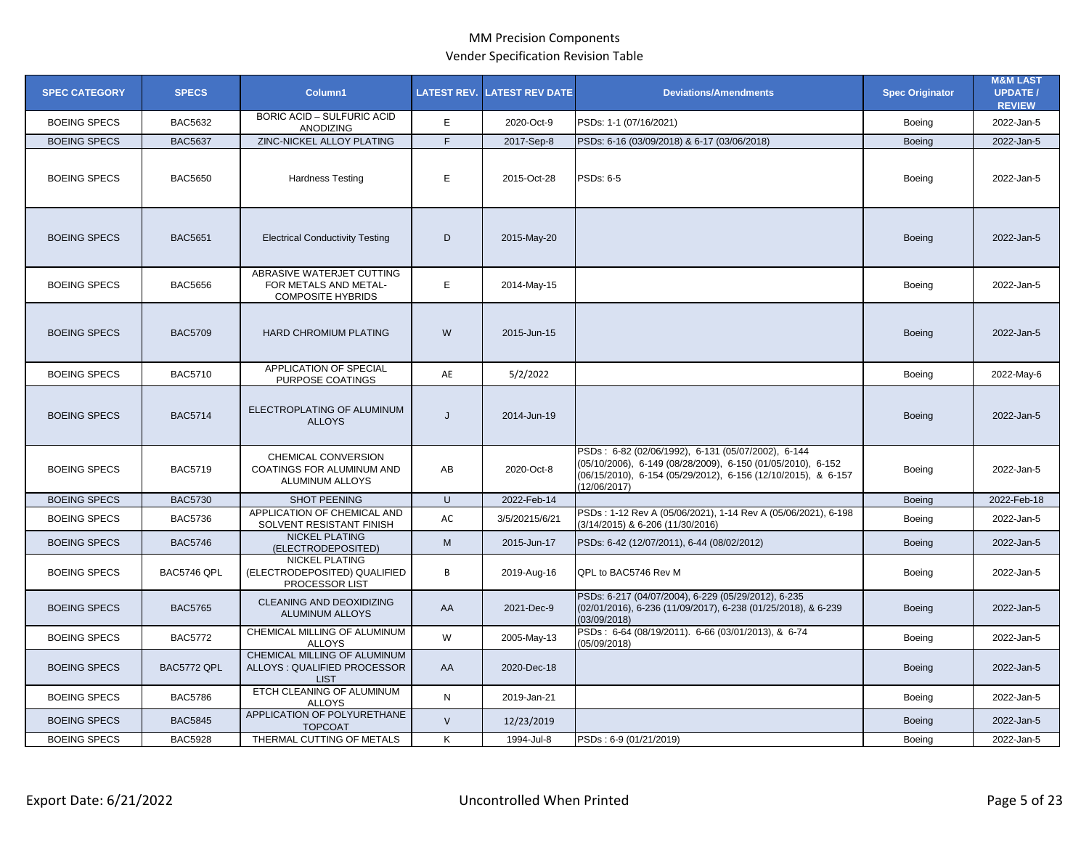| <b>SPEC CATEGORY</b> | <b>SPECS</b>   | Column1                                                                        |              | <b>LATEST REV. LATEST REV DATE</b> | <b>Deviations/Amendments</b>                                                                                                                                                                       | <b>Spec Originator</b> | <b>M&amp;M LAST</b><br><b>UPDATE /</b><br><b>REVIEW</b> |
|----------------------|----------------|--------------------------------------------------------------------------------|--------------|------------------------------------|----------------------------------------------------------------------------------------------------------------------------------------------------------------------------------------------------|------------------------|---------------------------------------------------------|
| <b>BOEING SPECS</b>  | <b>BAC5632</b> | <b>BORIC ACID - SULFURIC ACID</b><br><b>ANODIZING</b>                          | E            | 2020-Oct-9                         | PSDs: 1-1 (07/16/2021)                                                                                                                                                                             | Boeing                 | 2022-Jan-5                                              |
| <b>BOEING SPECS</b>  | <b>BAC5637</b> | ZINC-NICKEL ALLOY PLATING                                                      | F            | 2017-Sep-8                         | PSDs: 6-16 (03/09/2018) & 6-17 (03/06/2018)                                                                                                                                                        | <b>Boeing</b>          | 2022-Jan-5                                              |
| <b>BOEING SPECS</b>  | <b>BAC5650</b> | <b>Hardness Testing</b>                                                        | E            | 2015-Oct-28                        | PSDs: 6-5                                                                                                                                                                                          | Boeing                 | 2022-Jan-5                                              |
| <b>BOEING SPECS</b>  | <b>BAC5651</b> | <b>Electrical Conductivity Testing</b>                                         | D            | 2015-May-20                        |                                                                                                                                                                                                    | <b>Boeing</b>          | 2022-Jan-5                                              |
| <b>BOEING SPECS</b>  | <b>BAC5656</b> | ABRASIVE WATERJET CUTTING<br>FOR METALS AND METAL-<br><b>COMPOSITE HYBRIDS</b> | E            | 2014-May-15                        |                                                                                                                                                                                                    | Boeing                 | 2022-Jan-5                                              |
| <b>BOEING SPECS</b>  | <b>BAC5709</b> | <b>HARD CHROMIUM PLATING</b>                                                   | W            | 2015-Jun-15                        |                                                                                                                                                                                                    | <b>Boeing</b>          | 2022-Jan-5                                              |
| <b>BOEING SPECS</b>  | <b>BAC5710</b> | APPLICATION OF SPECIAL<br>PURPOSE COATINGS                                     | AE           | 5/2/2022                           |                                                                                                                                                                                                    | Boeing                 | 2022-May-6                                              |
| <b>BOEING SPECS</b>  | <b>BAC5714</b> | ELECTROPLATING OF ALUMINUM<br><b>ALLOYS</b>                                    | J            | 2014-Jun-19                        |                                                                                                                                                                                                    | <b>Boeing</b>          | 2022-Jan-5                                              |
| <b>BOEING SPECS</b>  | <b>BAC5719</b> | CHEMICAL CONVERSION<br>COATINGS FOR ALUMINUM AND<br>ALUMINUM ALLOYS            | AB           | 2020-Oct-8                         | PSDs: 6-82 (02/06/1992), 6-131 (05/07/2002), 6-144<br>(05/10/2006), 6-149 (08/28/2009), 6-150 (01/05/2010), 6-152<br>(06/15/2010), 6-154 (05/29/2012), 6-156 (12/10/2015), & 6-157<br>(12/06/2017) | Boeing                 | 2022-Jan-5                                              |
| <b>BOEING SPECS</b>  | <b>BAC5730</b> | <b>SHOT PEENING</b>                                                            | U            | 2022-Feb-14                        |                                                                                                                                                                                                    | <b>Boeing</b>          | 2022-Feb-18                                             |
| <b>BOEING SPECS</b>  | <b>BAC5736</b> | APPLICATION OF CHEMICAL AND<br>SOLVENT RESISTANT FINISH                        | AC           | 3/5/20215/6/21                     | PSDs: 1-12 Rev A (05/06/2021), 1-14 Rev A (05/06/2021), 6-198<br>(3/14/2015) & 6-206 (11/30/2016)                                                                                                  | <b>Boeing</b>          | 2022-Jan-5                                              |
| <b>BOEING SPECS</b>  | <b>BAC5746</b> | <b>NICKEL PLATING</b><br>(ELECTRODEPOSITED)                                    | M            | 2015-Jun-17                        | PSDs: 6-42 (12/07/2011), 6-44 (08/02/2012)                                                                                                                                                         | <b>Boeing</b>          | 2022-Jan-5                                              |
| <b>BOEING SPECS</b>  | BAC5746 QPL    | <b>NICKEL PLATING</b><br>(ELECTRODEPOSITED) QUALIFIED<br>PROCESSOR LIST        | B            | 2019-Aug-16                        | QPL to BAC5746 Rev M                                                                                                                                                                               | Boeing                 | 2022-Jan-5                                              |
| <b>BOEING SPECS</b>  | <b>BAC5765</b> | CLEANING AND DEOXIDIZING<br><b>ALUMINUM ALLOYS</b>                             | AA           | 2021-Dec-9                         | PSDs: 6-217 (04/07/2004), 6-229 (05/29/2012), 6-235<br>(02/01/2016), 6-236 (11/09/2017), 6-238 (01/25/2018), & 6-239<br>(03/09/2018)                                                               | <b>Boeing</b>          | 2022-Jan-5                                              |
| <b>BOEING SPECS</b>  | <b>BAC5772</b> | CHEMICAL MILLING OF ALUMINUM<br><b>ALLOYS</b>                                  | W            | 2005-May-13                        | PSDs: 6-64 (08/19/2011). 6-66 (03/01/2013), & 6-74<br>(05/09/2018)                                                                                                                                 | <b>Boeing</b>          | 2022-Jan-5                                              |
| <b>BOEING SPECS</b>  | BAC5772 QPL    | CHEMICAL MILLING OF ALUMINUM<br>ALLOYS: QUALIFIED PROCESSOR<br><b>LIST</b>     | AA           | 2020-Dec-18                        |                                                                                                                                                                                                    | <b>Boeing</b>          | 2022-Jan-5                                              |
| <b>BOEING SPECS</b>  | <b>BAC5786</b> | ETCH CLEANING OF ALUMINUM<br><b>ALLOYS</b>                                     | N            | 2019-Jan-21                        |                                                                                                                                                                                                    | <b>Boeing</b>          | 2022-Jan-5                                              |
| <b>BOEING SPECS</b>  | <b>BAC5845</b> | APPLICATION OF POLYURETHANE<br><b>TOPCOAT</b>                                  | $\mathsf{V}$ | 12/23/2019                         |                                                                                                                                                                                                    | <b>Boeing</b>          | 2022-Jan-5                                              |
| <b>BOEING SPECS</b>  | <b>BAC5928</b> | THERMAL CUTTING OF METALS                                                      | K            | 1994-Jul-8                         | PSDs: 6-9 (01/21/2019)                                                                                                                                                                             | Boeing                 | 2022-Jan-5                                              |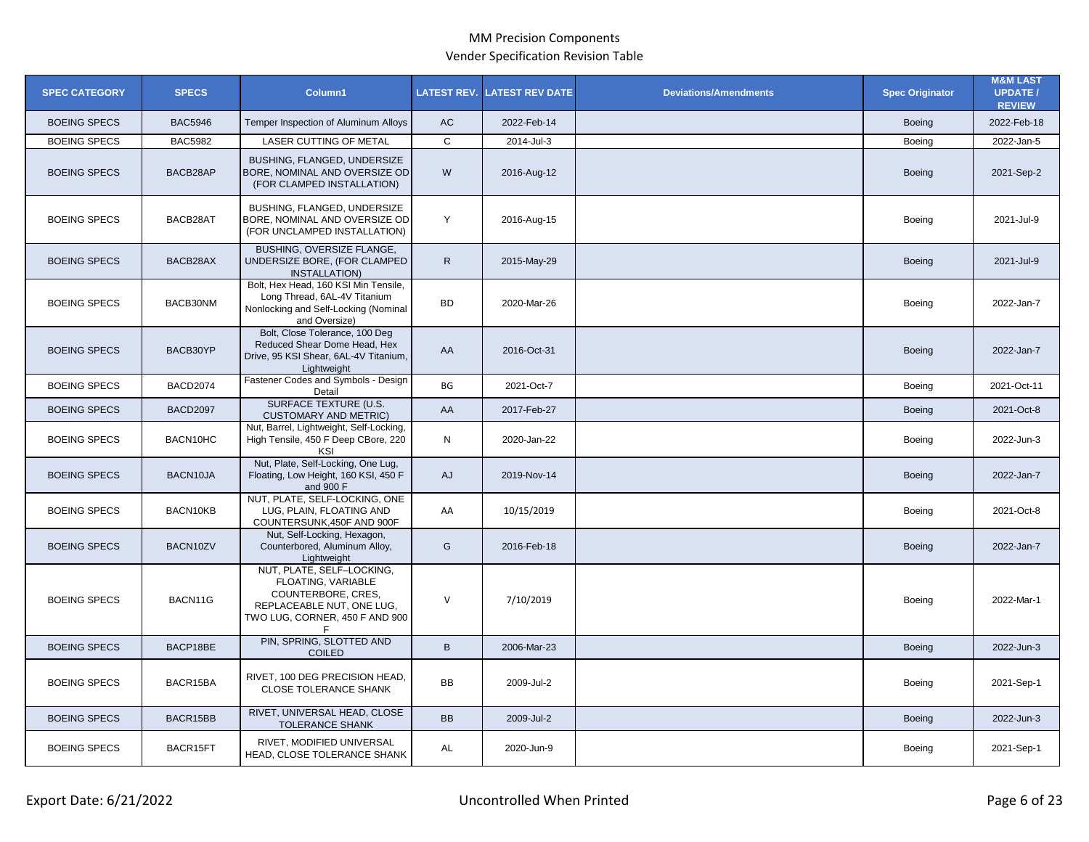| <b>SPEC CATEGORY</b> | <b>SPECS</b>    | Column1                                                                                                                              |                | <b>LATEST REV. LATEST REV DATE</b> | <b>Deviations/Amendments</b> | <b>Spec Originator</b> | <b>M&amp;M LAST</b><br><b>UPDATE /</b><br><b>REVIEW</b> |
|----------------------|-----------------|--------------------------------------------------------------------------------------------------------------------------------------|----------------|------------------------------------|------------------------------|------------------------|---------------------------------------------------------|
| <b>BOEING SPECS</b>  | <b>BAC5946</b>  | Temper Inspection of Aluminum Alloys                                                                                                 | AC             | 2022-Feb-14                        |                              | Boeing                 | 2022-Feb-18                                             |
| <b>BOEING SPECS</b>  | <b>BAC5982</b>  | <b>LASER CUTTING OF METAL</b>                                                                                                        | $\mathsf{C}$   | 2014-Jul-3                         |                              | Boeing                 | 2022-Jan-5                                              |
| <b>BOEING SPECS</b>  | BACB28AP        | BUSHING, FLANGED, UNDERSIZE<br>BORE, NOMINAL AND OVERSIZE OD<br>(FOR CLAMPED INSTALLATION)                                           | W              | 2016-Aug-12                        |                              | <b>Boeing</b>          | 2021-Sep-2                                              |
| <b>BOEING SPECS</b>  | BACB28AT        | BUSHING, FLANGED, UNDERSIZE<br>BORE, NOMINAL AND OVERSIZE OD<br>(FOR UNCLAMPED INSTALLATION)                                         | Y              | 2016-Aug-15                        |                              | Boeing                 | 2021-Jul-9                                              |
| <b>BOEING SPECS</b>  | BACB28AX        | BUSHING, OVERSIZE FLANGE,<br>UNDERSIZE BORE, (FOR CLAMPED<br><b>INSTALLATION)</b>                                                    | $\mathsf{R}$   | 2015-May-29                        |                              | Boeing                 | 2021-Jul-9                                              |
| <b>BOEING SPECS</b>  | BACB30NM        | Bolt, Hex Head, 160 KSI Min Tensile,<br>Long Thread, 6AL-4V Titanium<br>Nonlocking and Self-Locking (Nominal<br>and Oversize)        | <b>BD</b>      | 2020-Mar-26                        |                              | Boeing                 | 2022-Jan-7                                              |
| <b>BOEING SPECS</b>  | BACB30YP        | Bolt, Close Tolerance, 100 Deg<br>Reduced Shear Dome Head, Hex<br>Drive, 95 KSI Shear, 6AL-4V Titanium,<br>Lightweight               | AA             | 2016-Oct-31                        |                              | <b>Boeing</b>          | 2022-Jan-7                                              |
| <b>BOEING SPECS</b>  | <b>BACD2074</b> | Fastener Codes and Symbols - Design<br>Detail                                                                                        | BG             | 2021-Oct-7                         |                              | Boeing                 | 2021-Oct-11                                             |
| <b>BOEING SPECS</b>  | <b>BACD2097</b> | <b>SURFACE TEXTURE (U.S.</b><br><b>CUSTOMARY AND METRIC)</b>                                                                         | AA             | 2017-Feb-27                        |                              | <b>Boeing</b>          | 2021-Oct-8                                              |
| <b>BOEING SPECS</b>  | BACN10HC        | Nut, Barrel, Lightweight, Self-Locking,<br>High Tensile, 450 F Deep CBore, 220<br>KSI                                                | N              | 2020-Jan-22                        |                              | Boeing                 | 2022-Jun-3                                              |
| <b>BOEING SPECS</b>  | BACN10JA        | Nut, Plate, Self-Locking, One Lug,<br>Floating, Low Height, 160 KSI, 450 F<br>and 900 F                                              | AJ             | 2019-Nov-14                        |                              | <b>Boeing</b>          | 2022-Jan-7                                              |
| <b>BOEING SPECS</b>  | BACN10KB        | NUT, PLATE, SELF-LOCKING, ONE<br>LUG. PLAIN. FLOATING AND<br>COUNTERSUNK, 450F AND 900F                                              | AA             | 10/15/2019                         |                              | Boeing                 | 2021-Oct-8                                              |
| <b>BOEING SPECS</b>  | BACN10ZV        | Nut, Self-Locking, Hexagon,<br>Counterbored, Aluminum Alloy,<br>Lightweight                                                          | G              | 2016-Feb-18                        |                              | Boeing                 | 2022-Jan-7                                              |
| <b>BOEING SPECS</b>  | BACN11G         | NUT, PLATE, SELF-LOCKING,<br>FLOATING, VARIABLE<br>COUNTERBORE, CRES,<br>REPLACEABLE NUT, ONE LUG,<br>TWO LUG, CORNER, 450 F AND 900 | $\vee$         | 7/10/2019                          |                              | Boeing                 | 2022-Mar-1                                              |
| <b>BOEING SPECS</b>  | BACP18BE        | PIN, SPRING, SLOTTED AND<br><b>COILED</b>                                                                                            | $\overline{B}$ | 2006-Mar-23                        |                              | <b>Boeing</b>          | 2022-Jun-3                                              |
| <b>BOEING SPECS</b>  | BACR15BA        | RIVET, 100 DEG PRECISION HEAD,<br><b>CLOSE TOLERANCE SHANK</b>                                                                       | BB             | 2009-Jul-2                         |                              | Boeing                 | 2021-Sep-1                                              |
| <b>BOEING SPECS</b>  | BACR15BB        | RIVET, UNIVERSAL HEAD, CLOSE<br><b>TOLERANCE SHANK</b>                                                                               | <b>BB</b>      | 2009-Jul-2                         |                              | <b>Boeing</b>          | 2022-Jun-3                                              |
| <b>BOEING SPECS</b>  | BACR15FT        | RIVET, MODIFIED UNIVERSAL<br>HEAD, CLOSE TOLERANCE SHANK                                                                             | AL             | 2020-Jun-9                         |                              | Boeing                 | 2021-Sep-1                                              |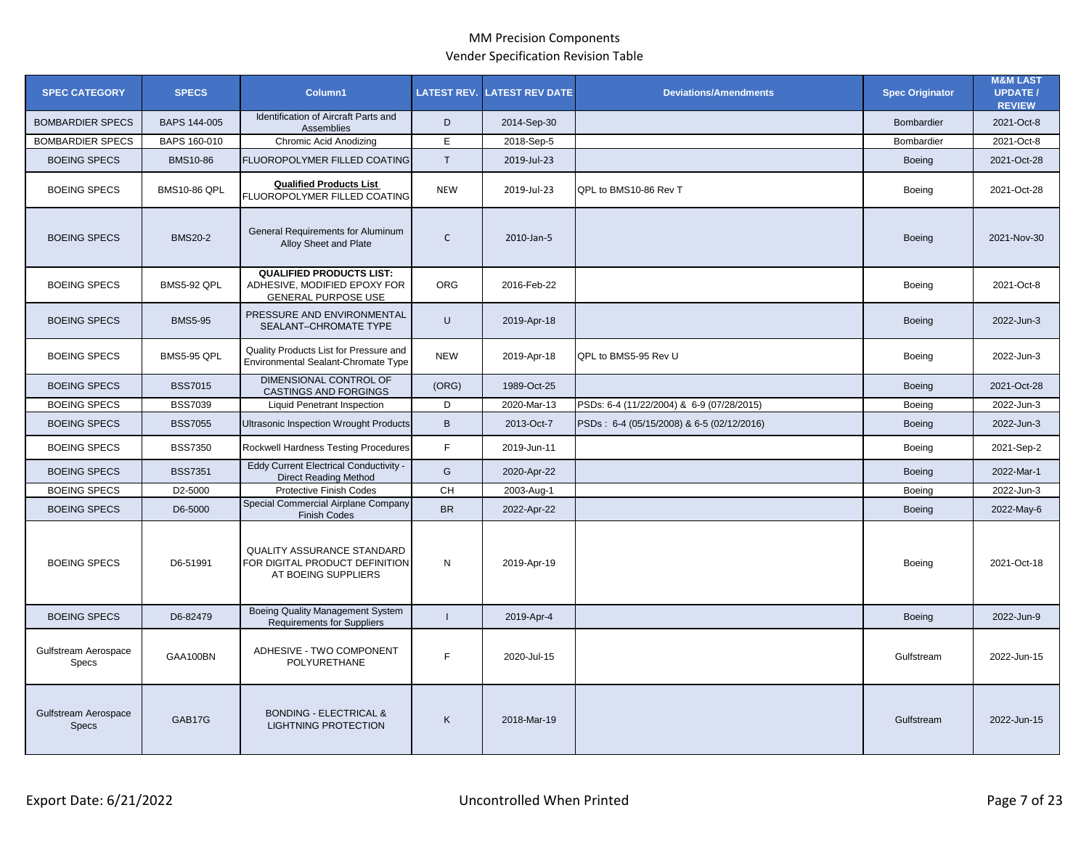| <b>SPEC CATEGORY</b>                        | <b>SPECS</b>        | Column1                                                                                    | <b>LATEST REV.</b> | <b>LATEST REV DATE</b> | <b>Deviations/Amendments</b>              | <b>Spec Originator</b> | <b>M&amp;M LAST</b><br><b>UPDATE /</b><br><b>REVIEW</b> |
|---------------------------------------------|---------------------|--------------------------------------------------------------------------------------------|--------------------|------------------------|-------------------------------------------|------------------------|---------------------------------------------------------|
| <b>BOMBARDIER SPECS</b>                     | BAPS 144-005        | Identification of Aircraft Parts and<br>Assemblies                                         | D                  | 2014-Sep-30            |                                           | Bombardier             | 2021-Oct-8                                              |
| <b>BOMBARDIER SPECS</b>                     | BAPS 160-010        | <b>Chromic Acid Anodizing</b>                                                              | E.                 | 2018-Sep-5             |                                           | Bombardier             | 2021-Oct-8                                              |
| <b>BOEING SPECS</b>                         | BMS10-86            | FLUOROPOLYMER FILLED COATING                                                               | $\mathsf{T}$       | 2019-Jul-23            |                                           | Boeing                 | 2021-Oct-28                                             |
| <b>BOEING SPECS</b>                         | <b>BMS10-86 QPL</b> | <b>Qualified Products List</b><br>FLUOROPOLYMER FILLED COATING                             | <b>NEW</b>         | 2019-Jul-23            | QPL to BMS10-86 Rev T                     | Boeing                 | 2021-Oct-28                                             |
| <b>BOEING SPECS</b>                         | <b>BMS20-2</b>      | General Requirements for Aluminum<br>Alloy Sheet and Plate                                 | $\mathsf{C}$       | 2010-Jan-5             |                                           | Boeing                 | 2021-Nov-30                                             |
| <b>BOEING SPECS</b>                         | BMS5-92 QPL         | <b>QUALIFIED PRODUCTS LIST:</b><br>ADHESIVE, MODIFIED EPOXY FOR<br>GENERAL PURPOSE USE     | <b>ORG</b>         | 2016-Feb-22            |                                           | Boeing                 | 2021-Oct-8                                              |
| <b>BOEING SPECS</b>                         | <b>BMS5-95</b>      | PRESSURE AND ENVIRONMENTAL<br>SEALANT-CHROMATE TYPE                                        | U                  | 2019-Apr-18            |                                           | <b>Boeing</b>          | 2022-Jun-3                                              |
| <b>BOEING SPECS</b>                         | <b>BMS5-95 QPL</b>  | Quality Products List for Pressure and<br>Environmental Sealant-Chromate Type              | <b>NEW</b>         | 2019-Apr-18            | QPL to BMS5-95 Rev U                      | Boeing                 | 2022-Jun-3                                              |
| <b>BOEING SPECS</b>                         | <b>BSS7015</b>      | DIMENSIONAL CONTROL OF<br>CASTINGS AND FORGINGS                                            | (ORG)              | 1989-Oct-25            |                                           | Boeing                 | 2021-Oct-28                                             |
| <b>BOEING SPECS</b>                         | <b>BSS7039</b>      | <b>Liquid Penetrant Inspection</b>                                                         | D                  | 2020-Mar-13            | PSDs: 6-4 (11/22/2004) & 6-9 (07/28/2015) | Boeing                 | 2022-Jun-3                                              |
| <b>BOEING SPECS</b>                         | <b>BSS7055</b>      | Ultrasonic Inspection Wrought Products                                                     | $\, {\sf B}$       | 2013-Oct-7             | PSDs: 6-4 (05/15/2008) & 6-5 (02/12/2016) | Boeing                 | 2022-Jun-3                                              |
| <b>BOEING SPECS</b>                         | <b>BSS7350</b>      | Rockwell Hardness Testing Procedures                                                       | F                  | 2019-Jun-11            |                                           | Boeing                 | 2021-Sep-2                                              |
| <b>BOEING SPECS</b>                         | <b>BSS7351</b>      | <b>Eddy Current Electrical Conductivity -</b><br><b>Direct Reading Method</b>              | G                  | 2020-Apr-22            |                                           | Boeing                 | 2022-Mar-1                                              |
| <b>BOEING SPECS</b>                         | D2-5000             | Protective Finish Codes                                                                    | CH                 | 2003-Aug-1             |                                           | Boeing                 | 2022-Jun-3                                              |
| <b>BOEING SPECS</b>                         | D6-5000             | Special Commercial Airplane Company<br><b>Finish Codes</b>                                 | <b>BR</b>          | 2022-Apr-22            |                                           | <b>Boeing</b>          | 2022-May-6                                              |
| <b>BOEING SPECS</b>                         | D6-51991            | <b>QUALITY ASSURANCE STANDARD</b><br>FOR DIGITAL PRODUCT DEFINITION<br>AT BOEING SUPPLIERS | N                  | 2019-Apr-19            |                                           | Boeing                 | 2021-Oct-18                                             |
| <b>BOEING SPECS</b>                         | D6-82479            | <b>Boeing Quality Management System</b><br><b>Requirements for Suppliers</b>               | $\mathbf{I}$       | 2019-Apr-4             |                                           | Boeing                 | 2022-Jun-9                                              |
| Gulfstream Aerospace<br><b>Specs</b>        | GAA100BN            | ADHESIVE - TWO COMPONENT<br>POLYURETHANE                                                   | F.                 | 2020-Jul-15            |                                           | Gulfstream             | 2022-Jun-15                                             |
| <b>Gulfstream Aerospace</b><br><b>Specs</b> | GAB17G              | <b>BONDING - ELECTRICAL &amp;</b><br><b>LIGHTNING PROTECTION</b>                           | K                  | 2018-Mar-19            |                                           | Gulfstream             | 2022-Jun-15                                             |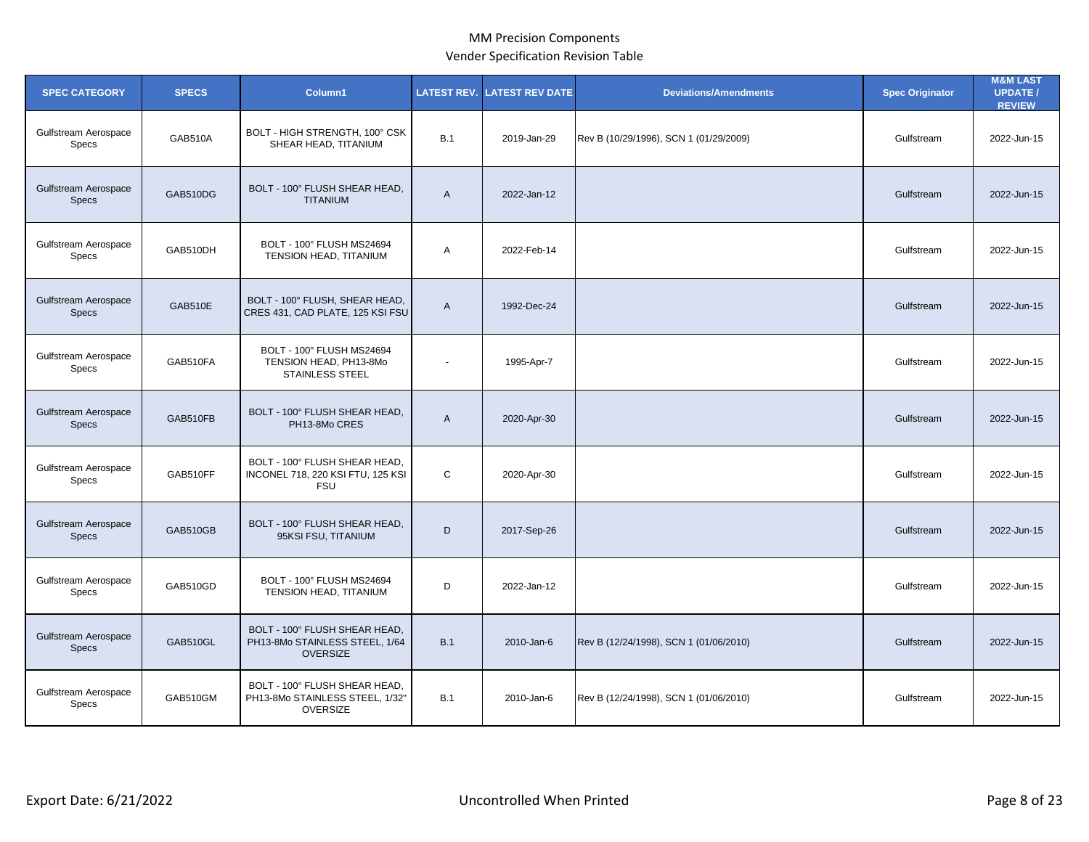| <b>SPEC CATEGORY</b>                        | <b>SPECS</b>   | Column1                                                                             | <b>LATEST REV.</b> | <b>ATEST REV DATE</b> | <b>Deviations/Amendments</b>           | <b>Spec Originator</b> | <b>M&amp;M LAST</b><br><b>UPDATE /</b><br><b>REVIEW</b> |
|---------------------------------------------|----------------|-------------------------------------------------------------------------------------|--------------------|-----------------------|----------------------------------------|------------------------|---------------------------------------------------------|
| Gulfstream Aerospace<br>Specs               | GAB510A        | BOLT - HIGH STRENGTH, 100° CSK<br>SHEAR HEAD, TITANIUM                              | B.1                | 2019-Jan-29           | Rev B (10/29/1996), SCN 1 (01/29/2009) | Gulfstream             | 2022-Jun-15                                             |
| Gulfstream Aerospace<br><b>Specs</b>        | GAB510DG       | BOLT - 100° FLUSH SHEAR HEAD,<br><b>TITANIUM</b>                                    | $\overline{A}$     | 2022-Jan-12           |                                        | Gulfstream             | 2022-Jun-15                                             |
| Gulfstream Aerospace<br>Specs               | GAB510DH       | BOLT - 100° FLUSH MS24694<br>TENSION HEAD, TITANIUM                                 | A                  | 2022-Feb-14           |                                        | Gulfstream             | 2022-Jun-15                                             |
| Gulfstream Aerospace<br><b>Specs</b>        | <b>GAB510E</b> | BOLT - 100° FLUSH, SHEAR HEAD,<br>CRES 431, CAD PLATE, 125 KSI FSU                  | $\mathsf{A}$       | 1992-Dec-24           |                                        | Gulfstream             | 2022-Jun-15                                             |
| Gulfstream Aerospace<br>Specs               | GAB510FA       | BOLT - 100° FLUSH MS24694<br>TENSION HEAD, PH13-8Mo<br><b>STAINLESS STEEL</b>       | $\blacksquare$     | 1995-Apr-7            |                                        | Gulfstream             | 2022-Jun-15                                             |
| <b>Gulfstream Aerospace</b><br><b>Specs</b> | GAB510FB       | BOLT - 100° FLUSH SHEAR HEAD,<br>PH13-8Mo CRES                                      | $\overline{A}$     | 2020-Apr-30           |                                        | Gulfstream             | 2022-Jun-15                                             |
| Gulfstream Aerospace<br>Specs               | GAB510FF       | BOLT - 100° FLUSH SHEAR HEAD,<br>INCONEL 718, 220 KSI FTU, 125 KSI<br><b>FSU</b>    | C                  | 2020-Apr-30           |                                        | Gulfstream             | 2022-Jun-15                                             |
| <b>Gulfstream Aerospace</b><br><b>Specs</b> | GAB510GB       | BOLT - 100° FLUSH SHEAR HEAD,<br>95KSI FSU, TITANIUM                                | D                  | 2017-Sep-26           |                                        | Gulfstream             | 2022-Jun-15                                             |
| Gulfstream Aerospace<br>Specs               | GAB510GD       | BOLT - 100° FLUSH MS24694<br>TENSION HEAD, TITANIUM                                 | D                  | 2022-Jan-12           |                                        | Gulfstream             | 2022-Jun-15                                             |
| Gulfstream Aerospace<br><b>Specs</b>        | GAB510GL       | BOLT - 100° FLUSH SHEAR HEAD,<br>PH13-8Mo STAINLESS STEEL, 1/64<br><b>OVERSIZE</b>  | B.1                | 2010-Jan-6            | Rev B (12/24/1998), SCN 1 (01/06/2010) | Gulfstream             | 2022-Jun-15                                             |
| Gulfstream Aerospace<br>Specs               | GAB510GM       | BOLT - 100° FLUSH SHEAR HEAD,<br>PH13-8Mo STAINLESS STEEL, 1/32"<br><b>OVERSIZE</b> | B.1                | 2010-Jan-6            | Rev B (12/24/1998), SCN 1 (01/06/2010) | Gulfstream             | 2022-Jun-15                                             |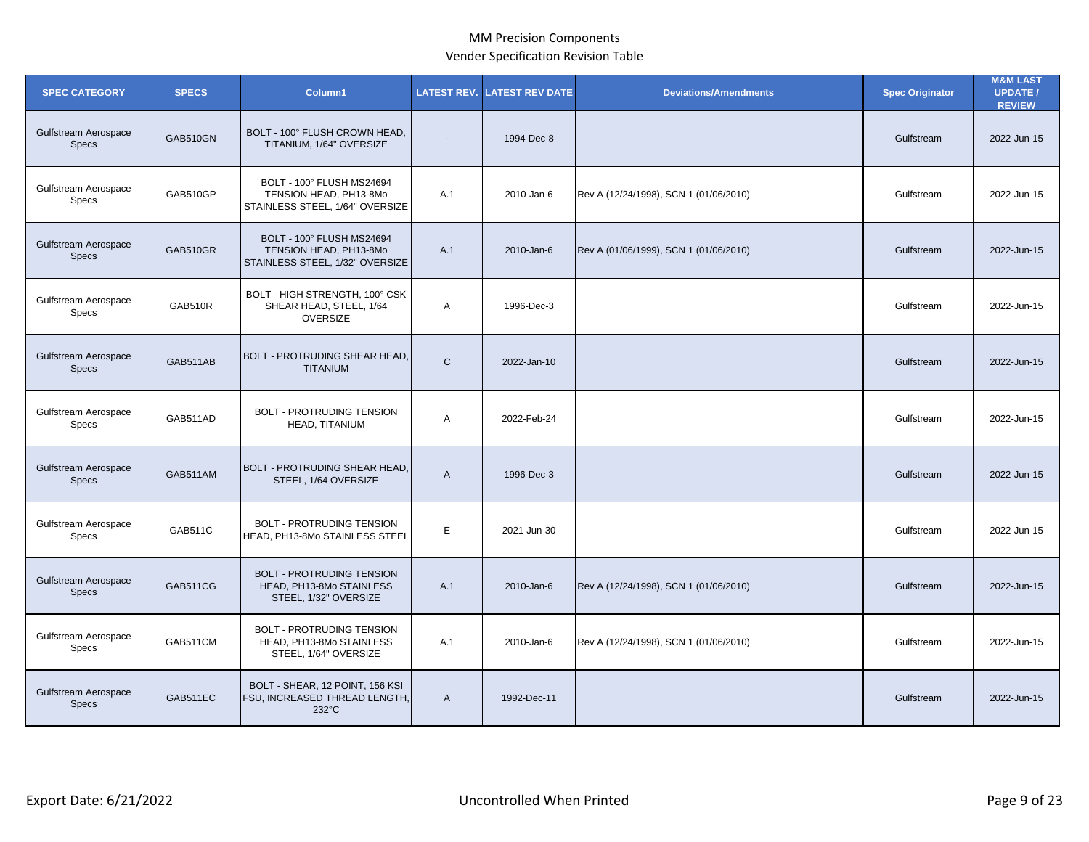| <b>SPEC CATEGORY</b>                        | <b>SPECS</b>    | Column1                                                                                | <b>LATEST REV.</b> | <b>LATEST REV DATE</b> | <b>Deviations/Amendments</b>           | <b>Spec Originator</b> | <b>M&amp;M LAST</b><br><b>UPDATE/</b><br><b>REVIEW</b> |
|---------------------------------------------|-----------------|----------------------------------------------------------------------------------------|--------------------|------------------------|----------------------------------------|------------------------|--------------------------------------------------------|
| Gulfstream Aerospace<br><b>Specs</b>        | <b>GAB510GN</b> | BOLT - 100° FLUSH CROWN HEAD,<br>TITANIUM, 1/64" OVERSIZE                              | $\blacksquare$     | 1994-Dec-8             |                                        | Gulfstream             | 2022-Jun-15                                            |
| Gulfstream Aerospace<br><b>Specs</b>        | GAB510GP        | BOLT - 100° FLUSH MS24694<br>TENSION HEAD, PH13-8Mo<br>STAINLESS STEEL, 1/64" OVERSIZE | A.1                | 2010-Jan-6             | Rev A (12/24/1998), SCN 1 (01/06/2010) | Gulfstream             | 2022-Jun-15                                            |
| <b>Gulfstream Aerospace</b><br><b>Specs</b> | GAB510GR        | BOLT - 100° FLUSH MS24694<br>TENSION HEAD, PH13-8Mo<br>STAINLESS STEEL, 1/32" OVERSIZE | A.1                | 2010-Jan-6             | Rev A (01/06/1999), SCN 1 (01/06/2010) | Gulfstream             | 2022-Jun-15                                            |
| Gulfstream Aerospace<br>Specs               | GAB510R         | BOLT - HIGH STRENGTH, 100° CSK<br>SHEAR HEAD, STEEL, 1/64<br><b>OVERSIZE</b>           | A                  | 1996-Dec-3             |                                        | Gulfstream             | 2022-Jun-15                                            |
| Gulfstream Aerospace<br><b>Specs</b>        | GAB511AB        | <b>BOLT - PROTRUDING SHEAR HEAD,</b><br><b>TITANIUM</b>                                | $\mathsf{C}$       | 2022-Jan-10            |                                        | Gulfstream             | 2022-Jun-15                                            |
| Gulfstream Aerospace<br><b>Specs</b>        | GAB511AD        | <b>BOLT - PROTRUDING TENSION</b><br>HEAD, TITANIUM                                     | Α                  | 2022-Feb-24            |                                        | Gulfstream             | 2022-Jun-15                                            |
| Gulfstream Aerospace<br><b>Specs</b>        | GAB511AM        | BOLT - PROTRUDING SHEAR HEAD,<br>STEEL, 1/64 OVERSIZE                                  | A                  | 1996-Dec-3             |                                        | Gulfstream             | 2022-Jun-15                                            |
| Gulfstream Aerospace<br><b>Specs</b>        | GAB511C         | <b>BOLT - PROTRUDING TENSION</b><br>HEAD, PH13-8Mo STAINLESS STEEL                     | E                  | 2021-Jun-30            |                                        | Gulfstream             | 2022-Jun-15                                            |
| Gulfstream Aerospace<br><b>Specs</b>        | GAB511CG        | <b>BOLT - PROTRUDING TENSION</b><br>HEAD, PH13-8Mo STAINLESS<br>STEEL, 1/32" OVERSIZE  | A.1                | 2010-Jan-6             | Rev A (12/24/1998), SCN 1 (01/06/2010) | Gulfstream             | 2022-Jun-15                                            |
| Gulfstream Aerospace<br><b>Specs</b>        | GAB511CM        | <b>BOLT - PROTRUDING TENSION</b><br>HEAD, PH13-8Mo STAINLESS<br>STEEL, 1/64" OVERSIZE  | A.1                | 2010-Jan-6             | Rev A (12/24/1998), SCN 1 (01/06/2010) | Gulfstream             | 2022-Jun-15                                            |
| Gulfstream Aerospace<br><b>Specs</b>        | GAB511EC        | BOLT - SHEAR, 12 POINT, 156 KSI<br>FSU, INCREASED THREAD LENGTH,<br>$232^{\circ}$ C    | $\mathsf{A}$       | 1992-Dec-11            |                                        | Gulfstream             | 2022-Jun-15                                            |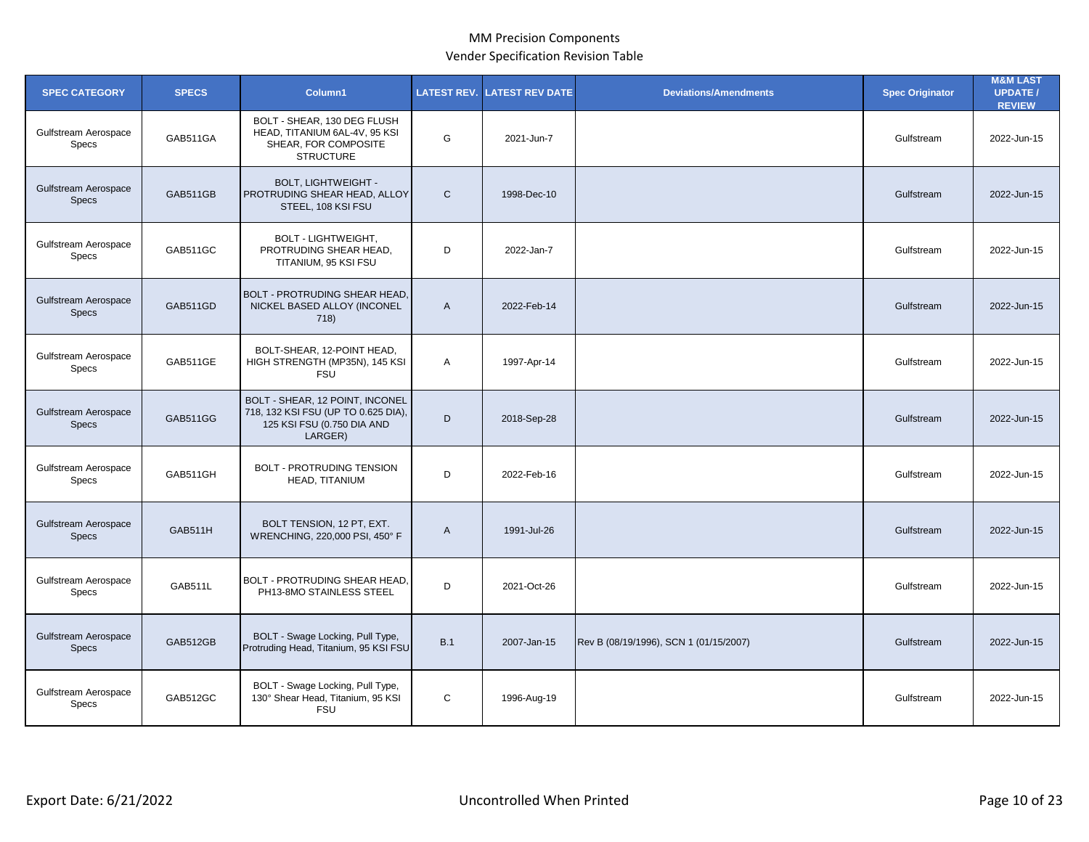| <b>SPEC CATEGORY</b>                 | <b>SPECS</b>   | Column1                                                                                                         | <b>LATEST REV.</b> | <b>LATEST REV DATE</b> | <b>Deviations/Amendments</b>           | <b>Spec Originator</b> | <b>M&amp;M LAST</b><br><b>UPDATE/</b><br><b>REVIEW</b> |
|--------------------------------------|----------------|-----------------------------------------------------------------------------------------------------------------|--------------------|------------------------|----------------------------------------|------------------------|--------------------------------------------------------|
| Gulfstream Aerospace<br>Specs        | GAB511GA       | BOLT - SHEAR, 130 DEG FLUSH<br>HEAD, TITANIUM 6AL-4V, 95 KSI<br>SHEAR, FOR COMPOSITE<br><b>STRUCTURE</b>        | G                  | 2021-Jun-7             |                                        | Gulfstream             | 2022-Jun-15                                            |
| Gulfstream Aerospace<br><b>Specs</b> | GAB511GB       | <b>BOLT, LIGHTWEIGHT -</b><br>PROTRUDING SHEAR HEAD, ALLOY<br>STEEL, 108 KSI FSU                                | $\mathsf{C}$       | 1998-Dec-10            |                                        | Gulfstream             | 2022-Jun-15                                            |
| Gulfstream Aerospace<br>Specs        | GAB511GC       | <b>BOLT - LIGHTWEIGHT,</b><br>PROTRUDING SHEAR HEAD,<br>TITANIUM, 95 KSI FSU                                    | D                  | 2022-Jan-7             |                                        | Gulfstream             | 2022-Jun-15                                            |
| Gulfstream Aerospace<br><b>Specs</b> | GAB511GD       | <b>BOLT - PROTRUDING SHEAR HEAD,</b><br>NICKEL BASED ALLOY (INCONEL<br>718)                                     | $\mathsf{A}$       | 2022-Feb-14            |                                        | Gulfstream             | 2022-Jun-15                                            |
| Gulfstream Aerospace<br>Specs        | GAB511GE       | BOLT-SHEAR, 12-POINT HEAD,<br>HIGH STRENGTH (MP35N), 145 KSI<br><b>FSU</b>                                      | Α                  | 1997-Apr-14            |                                        | Gulfstream             | 2022-Jun-15                                            |
| Gulfstream Aerospace<br><b>Specs</b> | GAB511GG       | BOLT - SHEAR, 12 POINT, INCONEL<br>718, 132 KSI FSU (UP TO 0.625 DIA),<br>125 KSI FSU (0.750 DIA AND<br>LARGER) | D                  | 2018-Sep-28            |                                        | Gulfstream             | 2022-Jun-15                                            |
| Gulfstream Aerospace<br>Specs        | GAB511GH       | <b>BOLT - PROTRUDING TENSION</b><br>HEAD, TITANIUM                                                              | D                  | 2022-Feb-16            |                                        | Gulfstream             | 2022-Jun-15                                            |
| Gulfstream Aerospace<br><b>Specs</b> | <b>GAB511H</b> | BOLT TENSION, 12 PT, EXT.<br>WRENCHING, 220,000 PSI, 450° F                                                     | $\overline{A}$     | 1991-Jul-26            |                                        | Gulfstream             | 2022-Jun-15                                            |
| Gulfstream Aerospace<br>Specs        | GAB511L        | BOLT - PROTRUDING SHEAR HEAD,<br>PH13-8MO STAINLESS STEEL                                                       | D                  | 2021-Oct-26            |                                        | Gulfstream             | 2022-Jun-15                                            |
| Gulfstream Aerospace<br><b>Specs</b> | GAB512GB       | BOLT - Swage Locking, Pull Type,<br>Protruding Head, Titanium, 95 KSI FSU                                       | B.1                | 2007-Jan-15            | Rev B (08/19/1996), SCN 1 (01/15/2007) | Gulfstream             | 2022-Jun-15                                            |
| Gulfstream Aerospace<br><b>Specs</b> | GAB512GC       | BOLT - Swage Locking, Pull Type,<br>130° Shear Head, Titanium, 95 KSI<br><b>FSU</b>                             | $\mathsf{C}$       | 1996-Aug-19            |                                        | Gulfstream             | 2022-Jun-15                                            |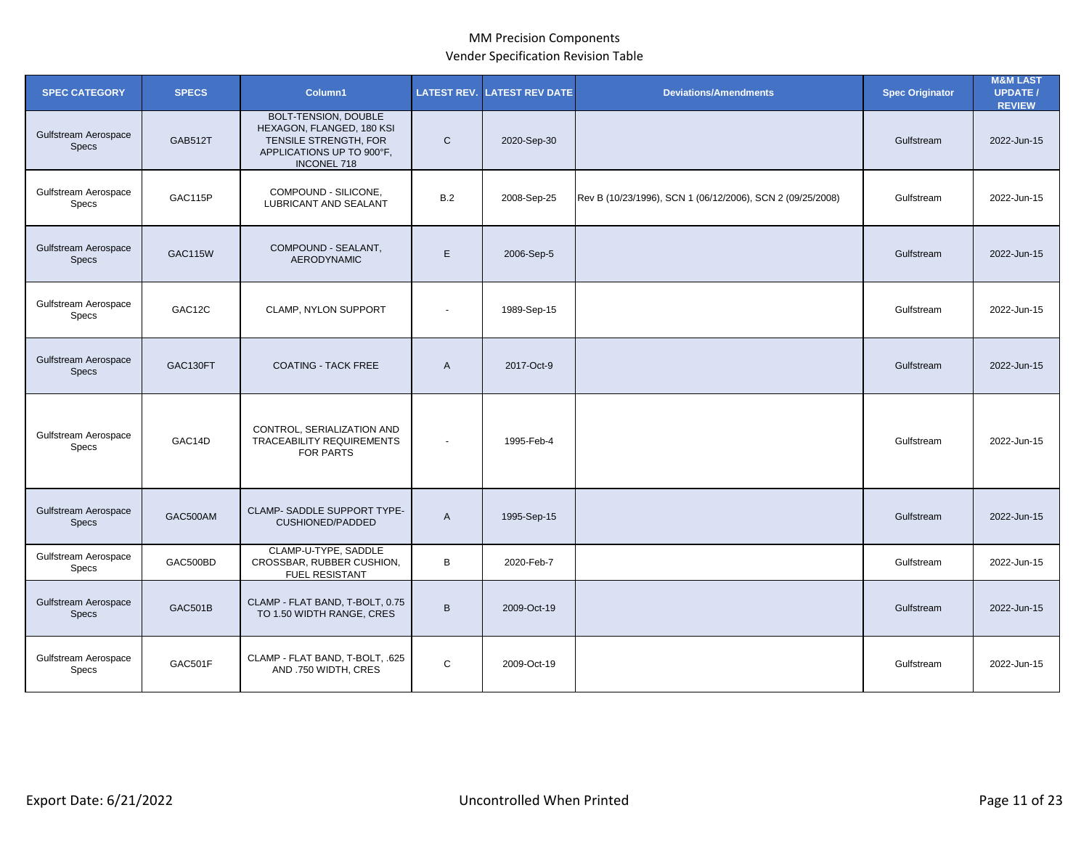| <b>SPEC CATEGORY</b>                        | <b>SPECS</b>   | Column1                                                                                                                       | <b>LATEST REV.</b> | <b>LATEST REV DATE</b> | <b>Deviations/Amendments</b>                               | <b>Spec Originator</b> | <b>M&amp;M LAST</b><br><b>UPDATE /</b><br><b>REVIEW</b> |
|---------------------------------------------|----------------|-------------------------------------------------------------------------------------------------------------------------------|--------------------|------------------------|------------------------------------------------------------|------------------------|---------------------------------------------------------|
| Gulfstream Aerospace<br><b>Specs</b>        | <b>GAB512T</b> | BOLT-TENSION, DOUBLE<br>HEXAGON, FLANGED, 180 KSI<br>TENSILE STRENGTH, FOR<br>APPLICATIONS UP TO 900°F,<br><b>INCONEL 718</b> | $\mathsf{C}$       | 2020-Sep-30            |                                                            | Gulfstream             | 2022-Jun-15                                             |
| Gulfstream Aerospace<br>Specs               | GAC115P        | COMPOUND - SILICONE,<br><b>LUBRICANT AND SEALANT</b>                                                                          | B.2                | 2008-Sep-25            | Rev B (10/23/1996), SCN 1 (06/12/2006), SCN 2 (09/25/2008) | Gulfstream             | 2022-Jun-15                                             |
| <b>Gulfstream Aerospace</b><br><b>Specs</b> | <b>GAC115W</b> | COMPOUND - SEALANT,<br><b>AERODYNAMIC</b>                                                                                     | E                  | 2006-Sep-5             |                                                            | Gulfstream             | 2022-Jun-15                                             |
| Gulfstream Aerospace<br>Specs               | GAC12C         | CLAMP, NYLON SUPPORT                                                                                                          |                    | 1989-Sep-15            |                                                            | Gulfstream             | 2022-Jun-15                                             |
| <b>Gulfstream Aerospace</b><br><b>Specs</b> | GAC130FT       | <b>COATING - TACK FREE</b>                                                                                                    | $\mathsf{A}$       | 2017-Oct-9             |                                                            | Gulfstream             | 2022-Jun-15                                             |
| Gulfstream Aerospace<br>Specs               | GAC14D         | CONTROL, SERIALIZATION AND<br><b>TRACEABILITY REQUIREMENTS</b><br>FOR PARTS                                                   | $\blacksquare$     | 1995-Feb-4             |                                                            | Gulfstream             | 2022-Jun-15                                             |
| <b>Gulfstream Aerospace</b><br><b>Specs</b> | GAC500AM       | <b>CLAMP- SADDLE SUPPORT TYPE-</b><br><b>CUSHIONED/PADDED</b>                                                                 | $\overline{A}$     | 1995-Sep-15            |                                                            | Gulfstream             | 2022-Jun-15                                             |
| Gulfstream Aerospace<br>Specs               | GAC500BD       | CLAMP-U-TYPE, SADDLE<br>CROSSBAR, RUBBER CUSHION,<br><b>FUEL RESISTANT</b>                                                    | B                  | 2020-Feb-7             |                                                            | Gulfstream             | 2022-Jun-15                                             |
| <b>Gulfstream Aerospace</b><br><b>Specs</b> | <b>GAC501B</b> | CLAMP - FLAT BAND, T-BOLT, 0.75<br>TO 1.50 WIDTH RANGE, CRES                                                                  | $\sf B$            | 2009-Oct-19            |                                                            | Gulfstream             | 2022-Jun-15                                             |
| Gulfstream Aerospace<br><b>Specs</b>        | GAC501F        | CLAMP - FLAT BAND, T-BOLT, .625<br>AND .750 WIDTH, CRES                                                                       | $\mathsf{C}$       | 2009-Oct-19            |                                                            | Gulfstream             | 2022-Jun-15                                             |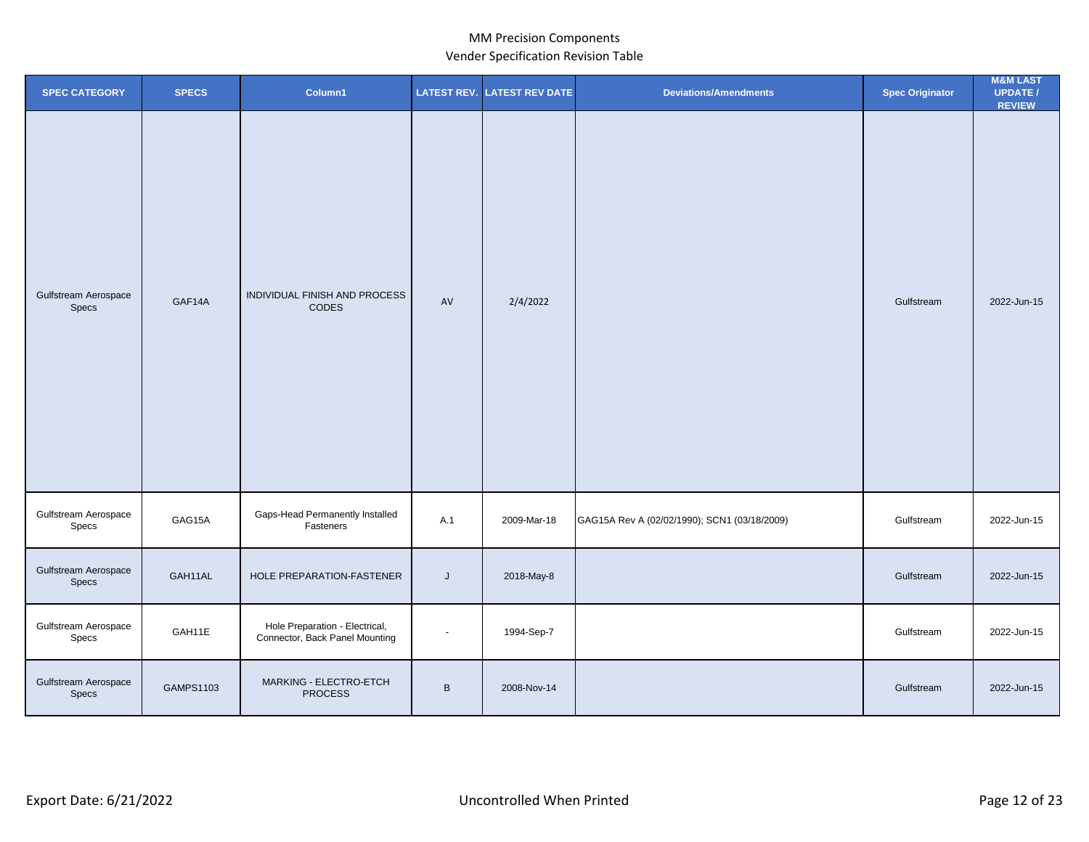| <b>SPEC CATEGORY</b>          | <b>SPECS</b> | Column1                                                          |                | <b>LATEST REV. LATEST REV DATE</b> | <b>Deviations/Amendments</b>                 | <b>Spec Originator</b> | <b>M&amp;M LAST</b><br><b>UPDATE/</b><br><b>REVIEW</b> |
|-------------------------------|--------------|------------------------------------------------------------------|----------------|------------------------------------|----------------------------------------------|------------------------|--------------------------------------------------------|
| Gulfstream Aerospace<br>Specs | GAF14A       | INDIVIDUAL FINISH AND PROCESS<br><b>CODES</b>                    | AV             | 2/4/2022                           |                                              | Gulfstream             | 2022-Jun-15                                            |
| Gulfstream Aerospace<br>Specs | GAG15A       | Gaps-Head Permanently Installed<br>Fasteners                     | A.1            | 2009-Mar-18                        | GAG15A Rev A (02/02/1990); SCN1 (03/18/2009) | Gulfstream             | 2022-Jun-15                                            |
| Gulfstream Aerospace<br>Specs | GAH11AL      | HOLE PREPARATION-FASTENER                                        | J              | 2018-May-8                         |                                              | Gulfstream             | 2022-Jun-15                                            |
| Gulfstream Aerospace<br>Specs | GAH11E       | Hole Preparation - Electrical,<br>Connector, Back Panel Mounting | $\blacksquare$ | 1994-Sep-7                         |                                              | Gulfstream             | 2022-Jun-15                                            |
| Gulfstream Aerospace<br>Specs | GAMPS1103    | MARKING - ELECTRO-ETCH<br><b>PROCESS</b>                         | $\, {\bf B}$   | 2008-Nov-14                        |                                              | Gulfstream             | 2022-Jun-15                                            |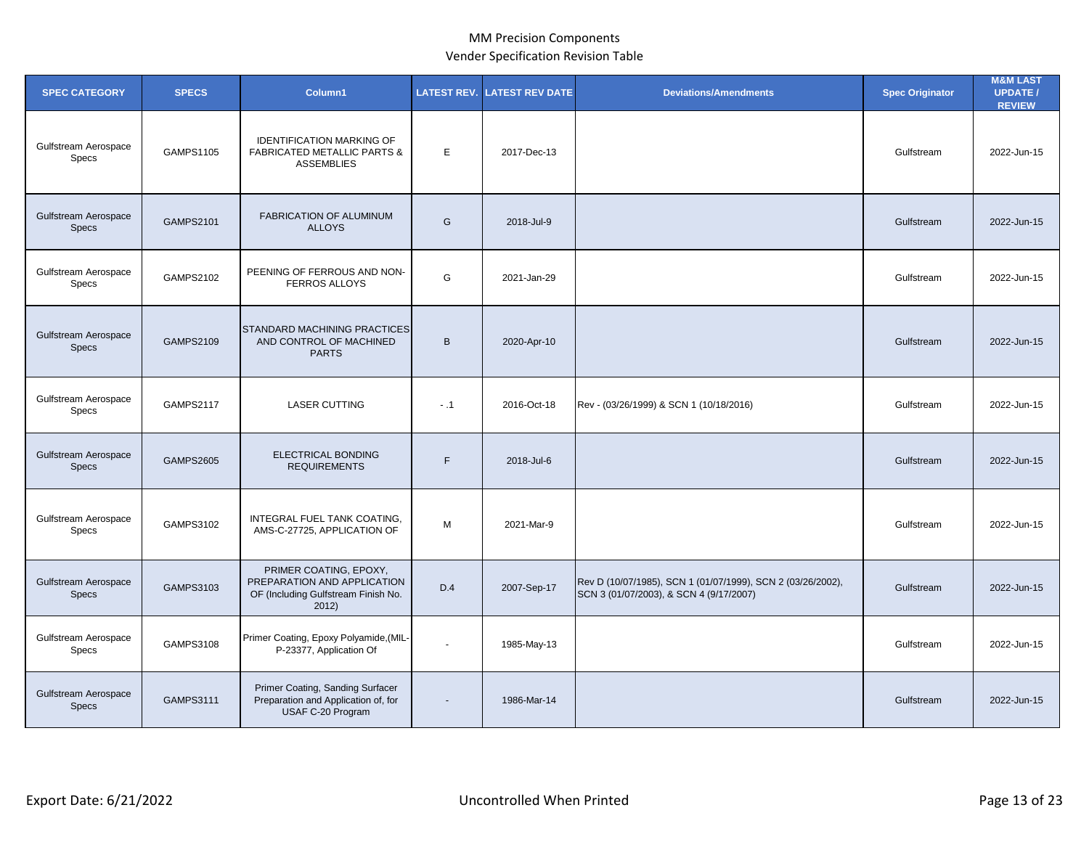| <b>SPEC CATEGORY</b>                 | <b>SPECS</b>     | Column1                                                                                               | <b>LATEST REV.</b> | <b>LATEST REV DATE</b> | <b>Deviations/Amendments</b>                                                                           | <b>Spec Originator</b> | <b>M&amp;M LAST</b><br><b>UPDATE /</b><br><b>REVIEW</b> |
|--------------------------------------|------------------|-------------------------------------------------------------------------------------------------------|--------------------|------------------------|--------------------------------------------------------------------------------------------------------|------------------------|---------------------------------------------------------|
| Gulfstream Aerospace<br><b>Specs</b> | GAMPS1105        | <b>IDENTIFICATION MARKING OF</b><br><b>FABRICATED METALLIC PARTS &amp;</b><br><b>ASSEMBLIES</b>       | E                  | 2017-Dec-13            |                                                                                                        | Gulfstream             | 2022-Jun-15                                             |
| Gulfstream Aerospace<br><b>Specs</b> | <b>GAMPS2101</b> | FABRICATION OF ALUMINUM<br><b>ALLOYS</b>                                                              | G                  | 2018-Jul-9             |                                                                                                        | Gulfstream             | 2022-Jun-15                                             |
| Gulfstream Aerospace<br><b>Specs</b> | <b>GAMPS2102</b> | PEENING OF FERROUS AND NON-<br><b>FERROS ALLOYS</b>                                                   | G                  | 2021-Jan-29            |                                                                                                        | Gulfstream             | 2022-Jun-15                                             |
| Gulfstream Aerospace<br><b>Specs</b> | <b>GAMPS2109</b> | <b>STANDARD MACHINING PRACTICES</b><br>AND CONTROL OF MACHINED<br><b>PARTS</b>                        | $\mathsf{B}$       | 2020-Apr-10            |                                                                                                        | Gulfstream             | 2022-Jun-15                                             |
| Gulfstream Aerospace<br>Specs        | <b>GAMPS2117</b> | <b>LASER CUTTING</b>                                                                                  | $-.1$              | 2016-Oct-18            | Rev - (03/26/1999) & SCN 1 (10/18/2016)                                                                | Gulfstream             | 2022-Jun-15                                             |
| Gulfstream Aerospace<br><b>Specs</b> | <b>GAMPS2605</b> | ELECTRICAL BONDING<br><b>REQUIREMENTS</b>                                                             | F                  | 2018-Jul-6             |                                                                                                        | Gulfstream             | 2022-Jun-15                                             |
| Gulfstream Aerospace<br>Specs        | GAMPS3102        | INTEGRAL FUEL TANK COATING.<br>AMS-C-27725, APPLICATION OF                                            | М                  | 2021-Mar-9             |                                                                                                        | Gulfstream             | 2022-Jun-15                                             |
| Gulfstream Aerospace<br><b>Specs</b> | GAMPS3103        | PRIMER COATING, EPOXY,<br>PREPARATION AND APPLICATION<br>OF (Including Gulfstream Finish No.<br>2012) | D.4                | 2007-Sep-17            | Rev D (10/07/1985), SCN 1 (01/07/1999), SCN 2 (03/26/2002),<br>SCN 3 (01/07/2003), & SCN 4 (9/17/2007) | Gulfstream             | 2022-Jun-15                                             |
| Gulfstream Aerospace<br>Specs        | GAMPS3108        | Primer Coating, Epoxy Polyamide, (MIL-<br>P-23377, Application Of                                     | $\overline{a}$     | 1985-May-13            |                                                                                                        | Gulfstream             | 2022-Jun-15                                             |
| Gulfstream Aerospace<br><b>Specs</b> | GAMPS3111        | Primer Coating, Sanding Surfacer<br>Preparation and Application of, for<br>USAF C-20 Program          | ٠                  | 1986-Mar-14            |                                                                                                        | Gulfstream             | 2022-Jun-15                                             |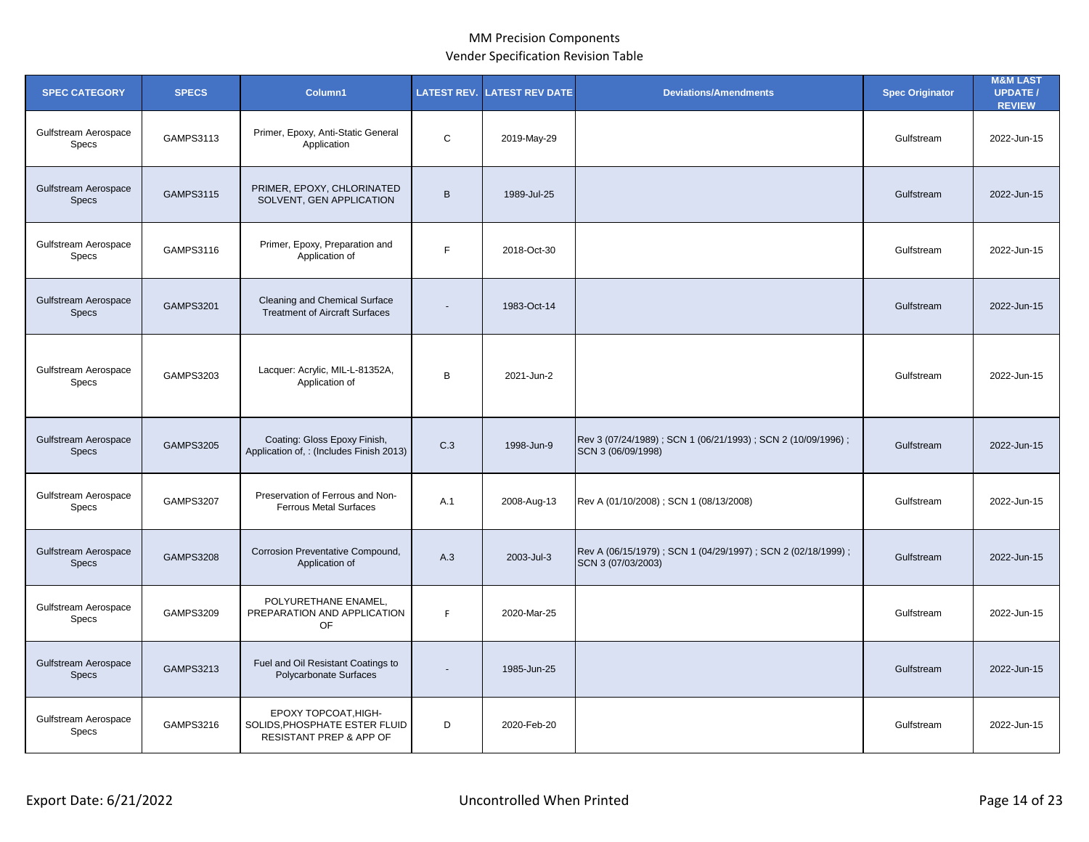| <b>SPEC CATEGORY</b>                        | <b>SPECS</b>     | Column1                                                                                     | <b>LATEST REV.</b> | <b>ATEST REV DATE</b> | <b>Deviations/Amendments</b>                                                         | <b>Spec Originator</b> | <b>M&amp;M LAST</b><br><b>UPDATE/</b><br><b>REVIEW</b> |
|---------------------------------------------|------------------|---------------------------------------------------------------------------------------------|--------------------|-----------------------|--------------------------------------------------------------------------------------|------------------------|--------------------------------------------------------|
| Gulfstream Aerospace<br>Specs               | GAMPS3113        | Primer, Epoxy, Anti-Static General<br>Application                                           | C                  | 2019-May-29           |                                                                                      | Gulfstream             | 2022-Jun-15                                            |
| Gulfstream Aerospace<br><b>Specs</b>        | GAMPS3115        | PRIMER, EPOXY, CHLORINATED<br>SOLVENT, GEN APPLICATION                                      | $\mathsf{B}$       | 1989-Jul-25           |                                                                                      | Gulfstream             | 2022-Jun-15                                            |
| Gulfstream Aerospace<br>Specs               | GAMPS3116        | Primer, Epoxy, Preparation and<br>Application of                                            | F.                 | 2018-Oct-30           |                                                                                      | Gulfstream             | 2022-Jun-15                                            |
| <b>Gulfstream Aerospace</b><br><b>Specs</b> | <b>GAMPS3201</b> | Cleaning and Chemical Surface<br><b>Treatment of Aircraft Surfaces</b>                      | $\blacksquare$     | 1983-Oct-14           |                                                                                      | Gulfstream             | 2022-Jun-15                                            |
| Gulfstream Aerospace<br>Specs               | GAMPS3203        | Lacquer: Acrylic, MIL-L-81352A,<br>Application of                                           | B                  | 2021-Jun-2            |                                                                                      | Gulfstream             | 2022-Jun-15                                            |
| <b>Gulfstream Aerospace</b><br><b>Specs</b> | <b>GAMPS3205</b> | Coating: Gloss Epoxy Finish,<br>Application of, : (Includes Finish 2013)                    | C.3                | 1998-Jun-9            | Rev 3 (07/24/1989) ; SCN 1 (06/21/1993) ; SCN 2 (10/09/1996) ;<br>SCN 3 (06/09/1998) | Gulfstream             | 2022-Jun-15                                            |
| Gulfstream Aerospace<br>Specs               | <b>GAMPS3207</b> | Preservation of Ferrous and Non-<br><b>Ferrous Metal Surfaces</b>                           | A.1                | 2008-Aug-13           | Rev A (01/10/2008); SCN 1 (08/13/2008)                                               | Gulfstream             | 2022-Jun-15                                            |
| <b>Gulfstream Aerospace</b><br><b>Specs</b> | <b>GAMPS3208</b> | Corrosion Preventative Compound,<br>Application of                                          | A.3                | 2003-Jul-3            | Rev A (06/15/1979); SCN 1 (04/29/1997); SCN 2 (02/18/1999);<br>SCN 3 (07/03/2003)    | Gulfstream             | 2022-Jun-15                                            |
| Gulfstream Aerospace<br><b>Specs</b>        | <b>GAMPS3209</b> | POLYURETHANE ENAMEL,<br>PREPARATION AND APPLICATION<br>OF                                   | F                  | 2020-Mar-25           |                                                                                      | Gulfstream             | 2022-Jun-15                                            |
| <b>Gulfstream Aerospace</b><br><b>Specs</b> | <b>GAMPS3213</b> | Fuel and Oil Resistant Coatings to<br>Polycarbonate Surfaces                                |                    | 1985-Jun-25           |                                                                                      | Gulfstream             | 2022-Jun-15                                            |
| Gulfstream Aerospace<br><b>Specs</b>        | GAMPS3216        | EPOXY TOPCOAT, HIGH-<br>SOLIDS, PHOSPHATE ESTER FLUID<br><b>RESISTANT PREP &amp; APP OF</b> | D                  | 2020-Feb-20           |                                                                                      | Gulfstream             | 2022-Jun-15                                            |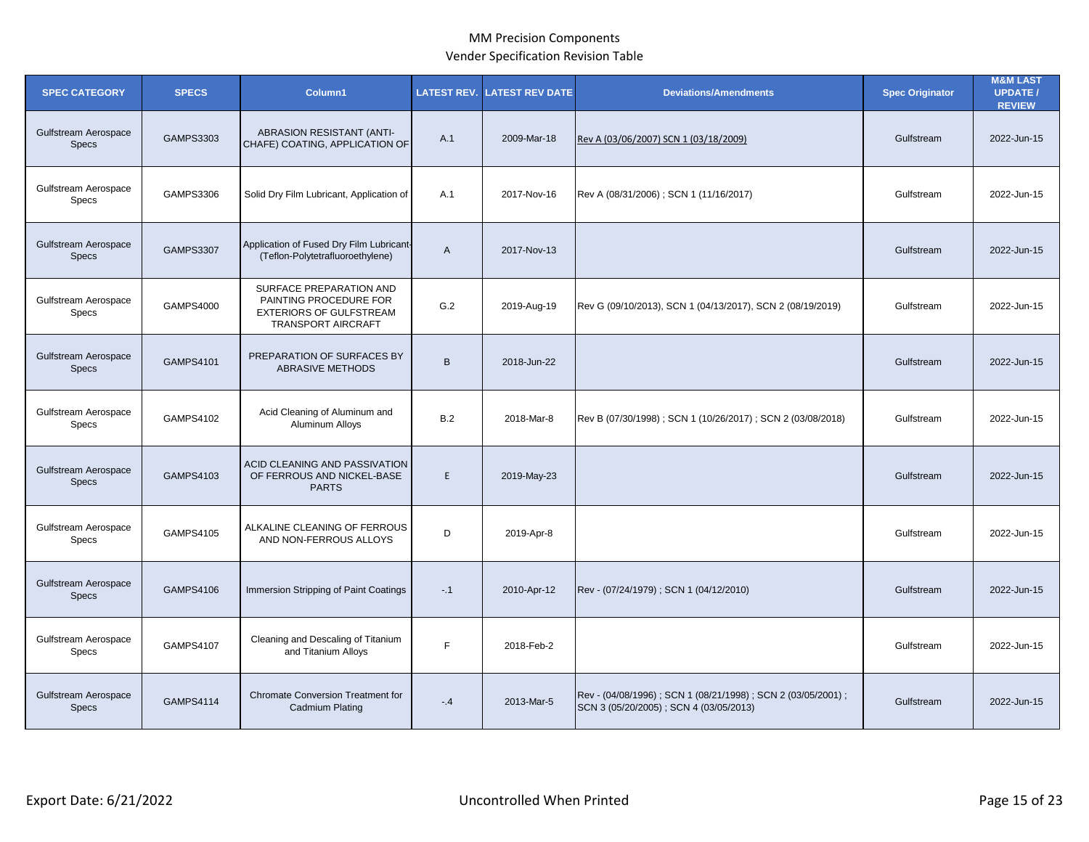| <b>SPEC CATEGORY</b>                 | <b>SPECS</b>     | Column1                                                                                                          | <b>LATEST REV.</b> | <b>LATEST REV DATE</b> | <b>Deviations/Amendments</b>                                                                             | <b>Spec Originator</b> | <b>M&amp;M LAST</b><br><b>UPDATE /</b><br><b>REVIEW</b> |
|--------------------------------------|------------------|------------------------------------------------------------------------------------------------------------------|--------------------|------------------------|----------------------------------------------------------------------------------------------------------|------------------------|---------------------------------------------------------|
| Gulfstream Aerospace<br><b>Specs</b> | GAMPS3303        | ABRASION RESISTANT (ANTI-<br>CHAFE) COATING, APPLICATION OF                                                      | A.1                | 2009-Mar-18            | Rev A (03/06/2007) SCN 1 (03/18/2009)                                                                    | Gulfstream             | 2022-Jun-15                                             |
| Gulfstream Aerospace<br>Specs        | <b>GAMPS3306</b> | Solid Dry Film Lubricant, Application of                                                                         | A.1                | 2017-Nov-16            | Rev A (08/31/2006); SCN 1 (11/16/2017)                                                                   | Gulfstream             | 2022-Jun-15                                             |
| Gulfstream Aerospace<br><b>Specs</b> | <b>GAMPS3307</b> | Application of Fused Dry Film Lubricant-<br>(Teflon-Polytetrafluoroethylene)                                     | A                  | 2017-Nov-13            |                                                                                                          | Gulfstream             | 2022-Jun-15                                             |
| Gulfstream Aerospace<br><b>Specs</b> | <b>GAMPS4000</b> | SURFACE PREPARATION AND<br>PAINTING PROCEDURE FOR<br><b>EXTERIORS OF GULFSTREAM</b><br><b>TRANSPORT AIRCRAFT</b> | G.2                | 2019-Aug-19            | Rev G (09/10/2013), SCN 1 (04/13/2017), SCN 2 (08/19/2019)                                               | Gulfstream             | 2022-Jun-15                                             |
| Gulfstream Aerospace<br><b>Specs</b> | GAMPS4101        | PREPARATION OF SURFACES BY<br><b>ABRASIVE METHODS</b>                                                            | B                  | 2018-Jun-22            |                                                                                                          | Gulfstream             | 2022-Jun-15                                             |
| Gulfstream Aerospace<br><b>Specs</b> | GAMPS4102        | Acid Cleaning of Aluminum and<br><b>Aluminum Alloys</b>                                                          | B.2                | 2018-Mar-8             | Rev B (07/30/1998); SCN 1 (10/26/2017); SCN 2 (03/08/2018)                                               | Gulfstream             | 2022-Jun-15                                             |
| Gulfstream Aerospace<br><b>Specs</b> | GAMPS4103        | ACID CLEANING AND PASSIVATION<br>OF FERROUS AND NICKEL-BASE<br><b>PARTS</b>                                      | E                  | 2019-May-23            |                                                                                                          | Gulfstream             | 2022-Jun-15                                             |
| Gulfstream Aerospace<br>Specs        | GAMPS4105        | ALKALINE CLEANING OF FERROUS<br>AND NON-FERROUS ALLOYS                                                           | D                  | 2019-Apr-8             |                                                                                                          | Gulfstream             | 2022-Jun-15                                             |
| Gulfstream Aerospace<br><b>Specs</b> | <b>GAMPS4106</b> | Immersion Stripping of Paint Coatings                                                                            | $-.1$              | 2010-Apr-12            | Rev - (07/24/1979); SCN 1 (04/12/2010)                                                                   | Gulfstream             | 2022-Jun-15                                             |
| Gulfstream Aerospace<br>Specs        | <b>GAMPS4107</b> | Cleaning and Descaling of Titanium<br>and Titanium Alloys                                                        | E                  | 2018-Feb-2             |                                                                                                          | Gulfstream             | 2022-Jun-15                                             |
| Gulfstream Aerospace<br><b>Specs</b> | <b>GAMPS4114</b> | <b>Chromate Conversion Treatment for</b><br>Cadmium Plating                                                      | $-4$               | 2013-Mar-5             | Rev - (04/08/1996) ; SCN 1 (08/21/1998) ; SCN 2 (03/05/2001) ;<br>SCN 3 (05/20/2005); SCN 4 (03/05/2013) | Gulfstream             | 2022-Jun-15                                             |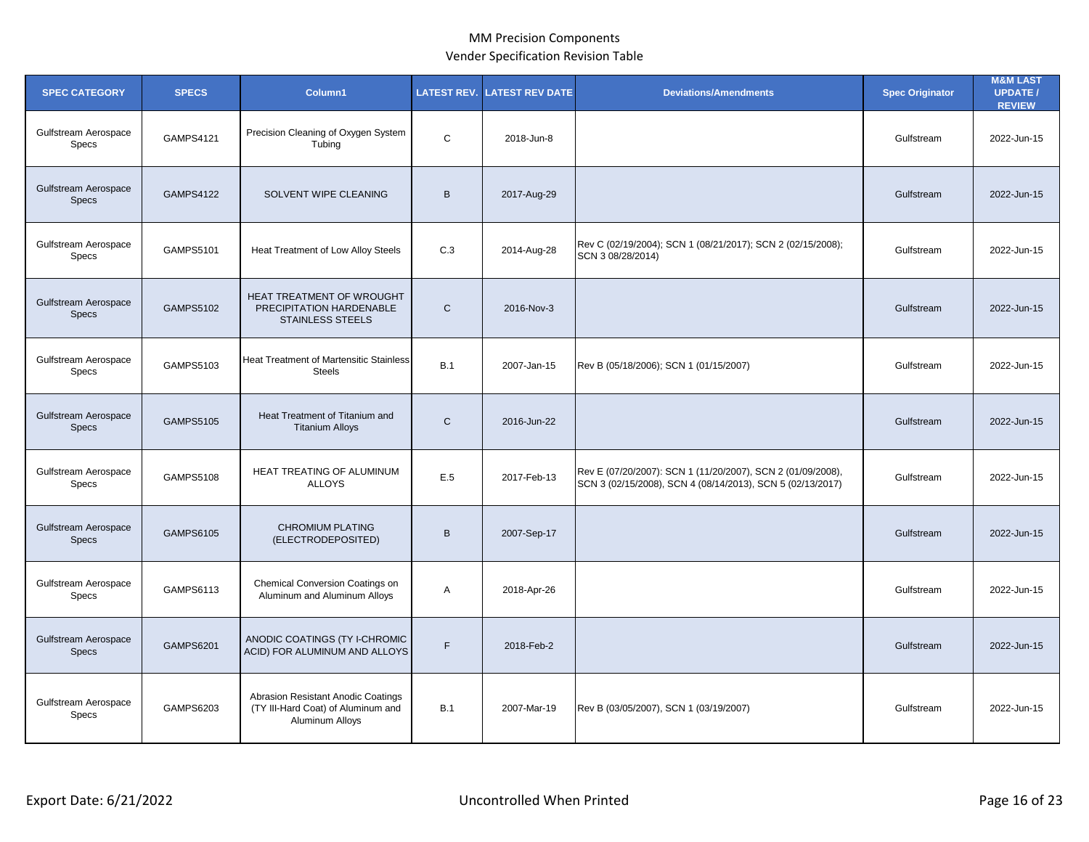| <b>SPEC CATEGORY</b>                 | <b>SPECS</b>     | Column1                                                                                     | <b>LATEST REV.</b> | <b>ATEST REV DATE</b> | <b>Deviations/Amendments</b>                                                                                              | <b>Spec Originator</b> | <b>M&amp;M LAST</b><br><b>UPDATE/</b><br><b>REVIEW</b> |
|--------------------------------------|------------------|---------------------------------------------------------------------------------------------|--------------------|-----------------------|---------------------------------------------------------------------------------------------------------------------------|------------------------|--------------------------------------------------------|
| Gulfstream Aerospace<br>Specs        | GAMPS4121        | Precision Cleaning of Oxygen System<br>Tubing                                               | $\mathsf C$        | 2018-Jun-8            |                                                                                                                           | Gulfstream             | 2022-Jun-15                                            |
| Gulfstream Aerospace<br>Specs        | <b>GAMPS4122</b> | SOLVENT WIPE CLEANING                                                                       | B                  | 2017-Aug-29           |                                                                                                                           | Gulfstream             | 2022-Jun-15                                            |
| Gulfstream Aerospace<br>Specs        | GAMPS5101        | Heat Treatment of Low Alloy Steels                                                          | C.3                | 2014-Aug-28           | Rev C (02/19/2004); SCN 1 (08/21/2017); SCN 2 (02/15/2008);<br>SCN 3 08/28/2014)                                          | Gulfstream             | 2022-Jun-15                                            |
| Gulfstream Aerospace<br><b>Specs</b> | <b>GAMPS5102</b> | HEAT TREATMENT OF WROUGHT<br>PRECIPITATION HARDENABLE<br><b>STAINLESS STEELS</b>            | $\mathsf{C}$       | 2016-Nov-3            |                                                                                                                           | Gulfstream             | 2022-Jun-15                                            |
| Gulfstream Aerospace<br>Specs        | GAMPS5103        | <b>Heat Treatment of Martensitic Stainless</b><br><b>Steels</b>                             | B.1                | 2007-Jan-15           | Rev B (05/18/2006); SCN 1 (01/15/2007)                                                                                    | Gulfstream             | 2022-Jun-15                                            |
| Gulfstream Aerospace<br><b>Specs</b> | <b>GAMPS5105</b> | Heat Treatment of Titanium and<br><b>Titanium Alloys</b>                                    | $\mathsf{C}$       | 2016-Jun-22           |                                                                                                                           | Gulfstream             | 2022-Jun-15                                            |
| Gulfstream Aerospace<br><b>Specs</b> | <b>GAMPS5108</b> | HEAT TREATING OF ALUMINUM<br><b>ALLOYS</b>                                                  | E.5                | 2017-Feb-13           | Rev E (07/20/2007): SCN 1 (11/20/2007), SCN 2 (01/09/2008),<br>SCN 3 (02/15/2008), SCN 4 (08/14/2013), SCN 5 (02/13/2017) | Gulfstream             | 2022-Jun-15                                            |
| Gulfstream Aerospace<br><b>Specs</b> | <b>GAMPS6105</b> | <b>CHROMIUM PLATING</b><br>(ELECTRODEPOSITED)                                               | B                  | 2007-Sep-17           |                                                                                                                           | Gulfstream             | 2022-Jun-15                                            |
| Gulfstream Aerospace<br><b>Specs</b> | GAMPS6113        | Chemical Conversion Coatings on<br>Aluminum and Aluminum Alloys                             | A                  | 2018-Apr-26           |                                                                                                                           | Gulfstream             | 2022-Jun-15                                            |
| Gulfstream Aerospace<br><b>Specs</b> | <b>GAMPS6201</b> | ANODIC COATINGS (TY I-CHROMIC<br>ACID) FOR ALUMINUM AND ALLOYS                              | F.                 | 2018-Feb-2            |                                                                                                                           | Gulfstream             | 2022-Jun-15                                            |
| Gulfstream Aerospace<br>Specs        | <b>GAMPS6203</b> | Abrasion Resistant Anodic Coatings<br>(TY III-Hard Coat) of Aluminum and<br>Aluminum Alloys | <b>B.1</b>         | 2007-Mar-19           | Rev B (03/05/2007), SCN 1 (03/19/2007)                                                                                    | Gulfstream             | 2022-Jun-15                                            |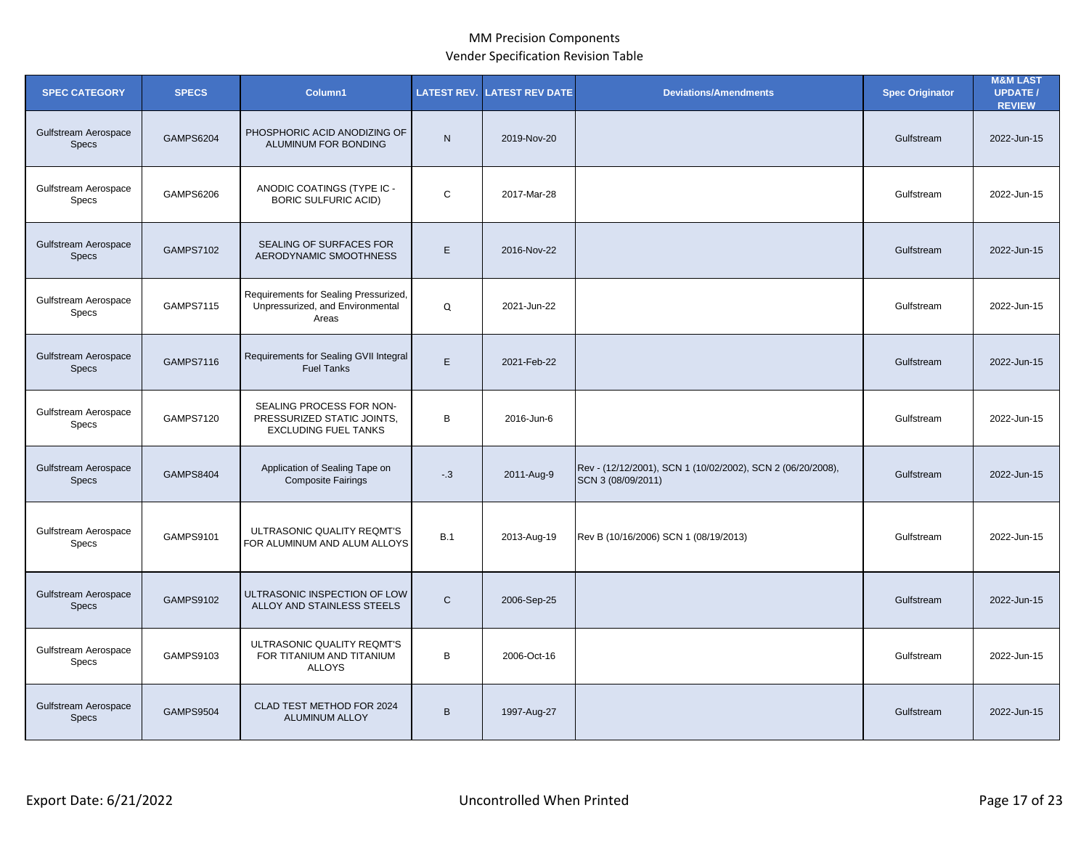| <b>SPEC CATEGORY</b>                 | <b>SPECS</b>     | Column1                                                                               | <b>LATEST REV.</b> | <b>LATEST REV DATE</b> | <b>Deviations/Amendments</b>                                                      | <b>Spec Originator</b> | <b>M&amp;M LAST</b><br><b>UPDATE/</b><br><b>REVIEW</b> |
|--------------------------------------|------------------|---------------------------------------------------------------------------------------|--------------------|------------------------|-----------------------------------------------------------------------------------|------------------------|--------------------------------------------------------|
| Gulfstream Aerospace<br><b>Specs</b> | <b>GAMPS6204</b> | PHOSPHORIC ACID ANODIZING OF<br>ALUMINUM FOR BONDING                                  | N                  | 2019-Nov-20            |                                                                                   | Gulfstream             | 2022-Jun-15                                            |
| Gulfstream Aerospace<br><b>Specs</b> | GAMPS6206        | ANODIC COATINGS (TYPE IC -<br><b>BORIC SULFURIC ACID)</b>                             | C                  | 2017-Mar-28            |                                                                                   | Gulfstream             | 2022-Jun-15                                            |
| Gulfstream Aerospace<br><b>Specs</b> | <b>GAMPS7102</b> | <b>SEALING OF SURFACES FOR</b><br>AERODYNAMIC SMOOTHNESS                              | E.                 | 2016-Nov-22            |                                                                                   | Gulfstream             | 2022-Jun-15                                            |
| Gulfstream Aerospace<br>Specs        | <b>GAMPS7115</b> | Requirements for Sealing Pressurized,<br>Unpressurized, and Environmental<br>Areas    | Q                  | 2021-Jun-22            |                                                                                   | Gulfstream             | 2022-Jun-15                                            |
| Gulfstream Aerospace<br><b>Specs</b> | <b>GAMPS7116</b> | Requirements for Sealing GVII Integral<br><b>Fuel Tanks</b>                           | E                  | 2021-Feb-22            |                                                                                   | Gulfstream             | 2022-Jun-15                                            |
| Gulfstream Aerospace<br>Specs        | <b>GAMPS7120</b> | SEALING PROCESS FOR NON-<br>PRESSURIZED STATIC JOINTS.<br><b>EXCLUDING FUEL TANKS</b> | В                  | 2016-Jun-6             |                                                                                   | Gulfstream             | 2022-Jun-15                                            |
| Gulfstream Aerospace<br><b>Specs</b> | <b>GAMPS8404</b> | Application of Sealing Tape on<br><b>Composite Fairings</b>                           | $-3$               | 2011-Aug-9             | Rev - (12/12/2001), SCN 1 (10/02/2002), SCN 2 (06/20/2008),<br>SCN 3 (08/09/2011) | Gulfstream             | 2022-Jun-15                                            |
| Gulfstream Aerospace<br>Specs        | GAMPS9101        | ULTRASONIC QUALITY REQMT'S<br>FOR ALUMINUM AND ALUM ALLOYS                            | <b>B.1</b>         | 2013-Aug-19            | Rev B (10/16/2006) SCN 1 (08/19/2013)                                             | Gulfstream             | 2022-Jun-15                                            |
| Gulfstream Aerospace<br><b>Specs</b> | GAMPS9102        | ULTRASONIC INSPECTION OF LOW<br>ALLOY AND STAINLESS STEELS                            | $\mathsf{C}$       | 2006-Sep-25            |                                                                                   | Gulfstream             | 2022-Jun-15                                            |
| Gulfstream Aerospace<br>Specs        | GAMPS9103        | ULTRASONIC QUALITY REQMT'S<br>FOR TITANIUM AND TITANIUM<br><b>ALLOYS</b>              | B                  | 2006-Oct-16            |                                                                                   | Gulfstream             | 2022-Jun-15                                            |
| Gulfstream Aerospace<br><b>Specs</b> | <b>GAMPS9504</b> | CLAD TEST METHOD FOR 2024<br><b>ALUMINUM ALLOY</b>                                    | B                  | 1997-Aug-27            |                                                                                   | Gulfstream             | 2022-Jun-15                                            |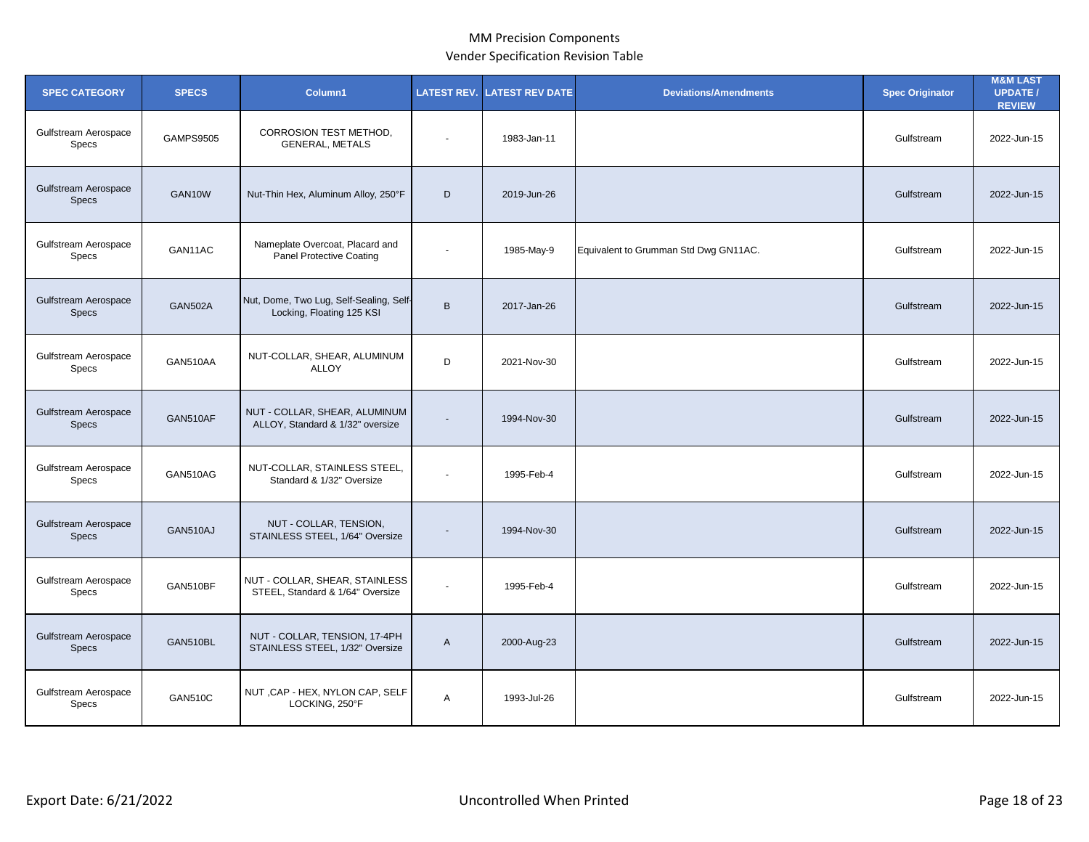| <b>SPEC CATEGORY</b>                        | <b>SPECS</b>   | Column1                                                              | <b>LATEST REV.</b>       | <b>LATEST REV DATE</b> | <b>Deviations/Amendments</b>          | <b>Spec Originator</b> | <b>M&amp;M LAST</b><br><b>UPDATE/</b><br><b>REVIEW</b> |
|---------------------------------------------|----------------|----------------------------------------------------------------------|--------------------------|------------------------|---------------------------------------|------------------------|--------------------------------------------------------|
| Gulfstream Aerospace<br>Specs               | GAMPS9505      | CORROSION TEST METHOD,<br><b>GENERAL, METALS</b>                     | $\overline{a}$           | 1983-Jan-11            |                                       | Gulfstream             | 2022-Jun-15                                            |
| Gulfstream Aerospace<br><b>Specs</b>        | GAN10W         | Nut-Thin Hex, Aluminum Alloy, 250°F                                  | D                        | 2019-Jun-26            |                                       | Gulfstream             | 2022-Jun-15                                            |
| Gulfstream Aerospace<br>Specs               | GAN11AC        | Nameplate Overcoat, Placard and<br>Panel Protective Coating          |                          | 1985-May-9             | Equivalent to Grumman Std Dwg GN11AC. | Gulfstream             | 2022-Jun-15                                            |
| Gulfstream Aerospace<br><b>Specs</b>        | <b>GAN502A</b> | Nut, Dome, Two Lug, Self-Sealing, Self-<br>Locking, Floating 125 KSI | $\mathsf{B}$             | 2017-Jan-26            |                                       | Gulfstream             | 2022-Jun-15                                            |
| Gulfstream Aerospace<br>Specs               | GAN510AA       | NUT-COLLAR, SHEAR, ALUMINUM<br><b>ALLOY</b>                          | D                        | 2021-Nov-30            |                                       | Gulfstream             | 2022-Jun-15                                            |
| Gulfstream Aerospace<br><b>Specs</b>        | GAN510AF       | NUT - COLLAR, SHEAR, ALUMINUM<br>ALLOY, Standard & 1/32" oversize    | $\blacksquare$           | 1994-Nov-30            |                                       | Gulfstream             | 2022-Jun-15                                            |
| Gulfstream Aerospace<br>Specs               | GAN510AG       | NUT-COLLAR, STAINLESS STEEL,<br>Standard & 1/32" Oversize            | $\overline{\phantom{a}}$ | 1995-Feb-4             |                                       | Gulfstream             | 2022-Jun-15                                            |
| <b>Gulfstream Aerospace</b><br><b>Specs</b> | GAN510AJ       | NUT - COLLAR, TENSION,<br>STAINLESS STEEL, 1/64" Oversize            |                          | 1994-Nov-30            |                                       | Gulfstream             | 2022-Jun-15                                            |
| Gulfstream Aerospace<br>Specs               | GAN510BF       | NUT - COLLAR, SHEAR, STAINLESS<br>STEEL, Standard & 1/64" Oversize   |                          | 1995-Feb-4             |                                       | Gulfstream             | 2022-Jun-15                                            |
| Gulfstream Aerospace<br><b>Specs</b>        | GAN510BL       | NUT - COLLAR, TENSION, 17-4PH<br>STAINLESS STEEL, 1/32" Oversize     | A                        | 2000-Aug-23            |                                       | Gulfstream             | 2022-Jun-15                                            |
| Gulfstream Aerospace<br>Specs               | <b>GAN510C</b> | NUT, CAP - HEX, NYLON CAP, SELF<br>LOCKING, 250°F                    | A                        | 1993-Jul-26            |                                       | Gulfstream             | 2022-Jun-15                                            |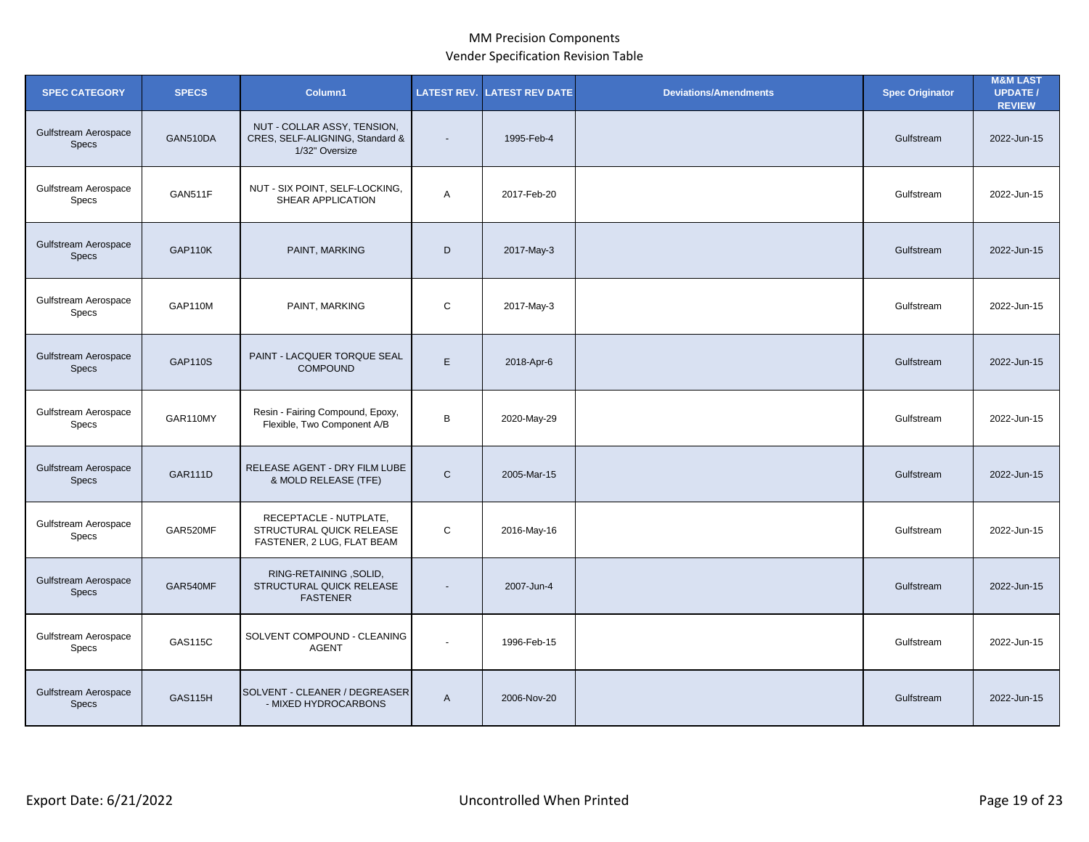| <b>SPEC CATEGORY</b>                        | <b>SPECS</b>   | Column1                                                                          | <b>LATEST REV.</b> | <b>LATEST REV DATE</b> | <b>Deviations/Amendments</b> | <b>Spec Originator</b> | <b>M&amp;M LAST</b><br><b>UPDATE /</b><br><b>REVIEW</b> |
|---------------------------------------------|----------------|----------------------------------------------------------------------------------|--------------------|------------------------|------------------------------|------------------------|---------------------------------------------------------|
| Gulfstream Aerospace<br><b>Specs</b>        | GAN510DA       | NUT - COLLAR ASSY, TENSION,<br>CRES, SELF-ALIGNING, Standard &<br>1/32" Oversize | $\blacksquare$     | 1995-Feb-4             |                              | Gulfstream             | 2022-Jun-15                                             |
| Gulfstream Aerospace<br>Specs               | GAN511F        | NUT - SIX POINT, SELF-LOCKING,<br>SHEAR APPLICATION                              | A                  | 2017-Feb-20            |                              | Gulfstream             | 2022-Jun-15                                             |
| Gulfstream Aerospace<br><b>Specs</b>        | GAP110K        | PAINT, MARKING                                                                   | D                  | 2017-May-3             |                              | Gulfstream             | 2022-Jun-15                                             |
| Gulfstream Aerospace<br>Specs               | <b>GAP110M</b> | PAINT, MARKING                                                                   | $\mathsf{C}$       | 2017-May-3             |                              | Gulfstream             | 2022-Jun-15                                             |
| Gulfstream Aerospace<br><b>Specs</b>        | <b>GAP110S</b> | PAINT - LACQUER TORQUE SEAL<br><b>COMPOUND</b>                                   | E                  | 2018-Apr-6             |                              | Gulfstream             | 2022-Jun-15                                             |
| Gulfstream Aerospace<br><b>Specs</b>        | GAR110MY       | Resin - Fairing Compound, Epoxy,<br>Flexible, Two Component A/B                  | B                  | 2020-May-29            |                              | Gulfstream             | 2022-Jun-15                                             |
| Gulfstream Aerospace<br><b>Specs</b>        | <b>GAR111D</b> | RELEASE AGENT - DRY FILM LUBE<br>& MOLD RELEASE (TFE)                            | $\mathsf{C}$       | 2005-Mar-15            |                              | Gulfstream             | 2022-Jun-15                                             |
| Gulfstream Aerospace<br>Specs               | GAR520MF       | RECEPTACLE - NUTPLATE,<br>STRUCTURAL QUICK RELEASE<br>FASTENER, 2 LUG, FLAT BEAM | $\mathsf{C}$       | 2016-May-16            |                              | Gulfstream             | 2022-Jun-15                                             |
| <b>Gulfstream Aerospace</b><br><b>Specs</b> | GAR540MF       | RING-RETAINING, SOLID,<br>STRUCTURAL QUICK RELEASE<br><b>FASTENER</b>            |                    | 2007-Jun-4             |                              | Gulfstream             | 2022-Jun-15                                             |
| Gulfstream Aerospace<br>Specs               | GAS115C        | SOLVENT COMPOUND - CLEANING<br><b>AGENT</b>                                      | ä,                 | 1996-Feb-15            |                              | Gulfstream             | 2022-Jun-15                                             |
| Gulfstream Aerospace<br><b>Specs</b>        | <b>GAS115H</b> | SOLVENT - CLEANER / DEGREASER<br>- MIXED HYDROCARBONS                            | $\mathsf{A}$       | 2006-Nov-20            |                              | Gulfstream             | 2022-Jun-15                                             |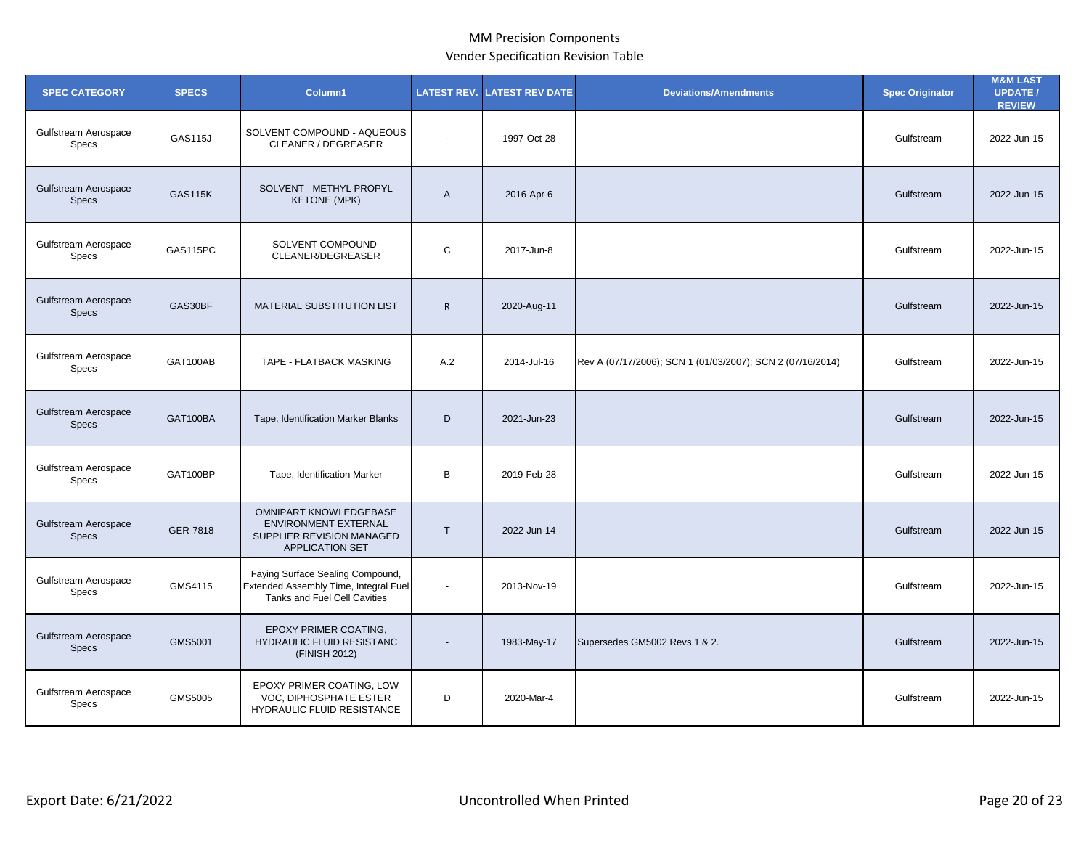| <b>SPEC CATEGORY</b>                        | <b>SPECS</b>   | Column1                                                                                                      | <b>LATEST REV.</b> | <b>ATEST REV DATE</b> | <b>Deviations/Amendments</b>                               | <b>Spec Originator</b> | <b>M&amp;M LAST</b><br><b>UPDATE /</b><br><b>REVIEW</b> |
|---------------------------------------------|----------------|--------------------------------------------------------------------------------------------------------------|--------------------|-----------------------|------------------------------------------------------------|------------------------|---------------------------------------------------------|
| Gulfstream Aerospace<br>Specs               | <b>GAS115J</b> | SOLVENT COMPOUND - AQUEOUS<br><b>CLEANER / DEGREASER</b>                                                     | $\mathbf{r}$       | 1997-Oct-28           |                                                            | Gulfstream             | 2022-Jun-15                                             |
| <b>Gulfstream Aerospace</b><br><b>Specs</b> | <b>GAS115K</b> | SOLVENT - METHYL PROPYL<br><b>KETONE (MPK)</b>                                                               | $\mathsf{A}$       | 2016-Apr-6            |                                                            | Gulfstream             | 2022-Jun-15                                             |
| Gulfstream Aerospace<br>Specs               | GAS115PC       | SOLVENT COMPOUND-<br>CLEANER/DEGREASER                                                                       | $\mathsf C$        | 2017-Jun-8            |                                                            | Gulfstream             | 2022-Jun-15                                             |
| <b>Gulfstream Aerospace</b><br><b>Specs</b> | GAS30BF        | MATERIAL SUBSTITUTION LIST                                                                                   | $\mathsf{R}$       | 2020-Aug-11           |                                                            | Gulfstream             | 2022-Jun-15                                             |
| Gulfstream Aerospace<br>Specs               | GAT100AB       | TAPE - FLATBACK MASKING                                                                                      | A.2                | 2014-Jul-16           | Rev A (07/17/2006); SCN 1 (01/03/2007); SCN 2 (07/16/2014) | Gulfstream             | 2022-Jun-15                                             |
| <b>Gulfstream Aerospace</b><br><b>Specs</b> | GAT100BA       | Tape, Identification Marker Blanks                                                                           | D                  | 2021-Jun-23           |                                                            | Gulfstream             | 2022-Jun-15                                             |
| Gulfstream Aerospace<br>Specs               | GAT100BP       | Tape, Identification Marker                                                                                  | B                  | 2019-Feb-28           |                                                            | Gulfstream             | 2022-Jun-15                                             |
| <b>Gulfstream Aerospace</b><br><b>Specs</b> | GER-7818       | OMNIPART KNOWLEDGEBASE<br><b>ENVIRONMENT EXTERNAL</b><br>SUPPLIER REVISION MANAGED<br><b>APPLICATION SET</b> | $\mathsf{T}$       | 2022-Jun-14           |                                                            | Gulfstream             | 2022-Jun-15                                             |
| Gulfstream Aerospace<br>Specs               | GMS4115        | Faying Surface Sealing Compound,<br>Extended Assembly Time, Integral Fuel<br>Tanks and Fuel Cell Cavities    | $\blacksquare$     | 2013-Nov-19           |                                                            | Gulfstream             | 2022-Jun-15                                             |
| Gulfstream Aerospace<br><b>Specs</b>        | <b>GMS5001</b> | EPOXY PRIMER COATING.<br>HYDRAULIC FLUID RESISTANC<br>(FINISH 2012)                                          | $\blacksquare$     | 1983-May-17           | Supersedes GM5002 Revs 1 & 2.                              | Gulfstream             | 2022-Jun-15                                             |
| Gulfstream Aerospace<br>Specs               | GMS5005        | EPOXY PRIMER COATING, LOW<br>VOC, DIPHOSPHATE ESTER<br>HYDRAULIC FLUID RESISTANCE                            | D                  | 2020-Mar-4            |                                                            | Gulfstream             | 2022-Jun-15                                             |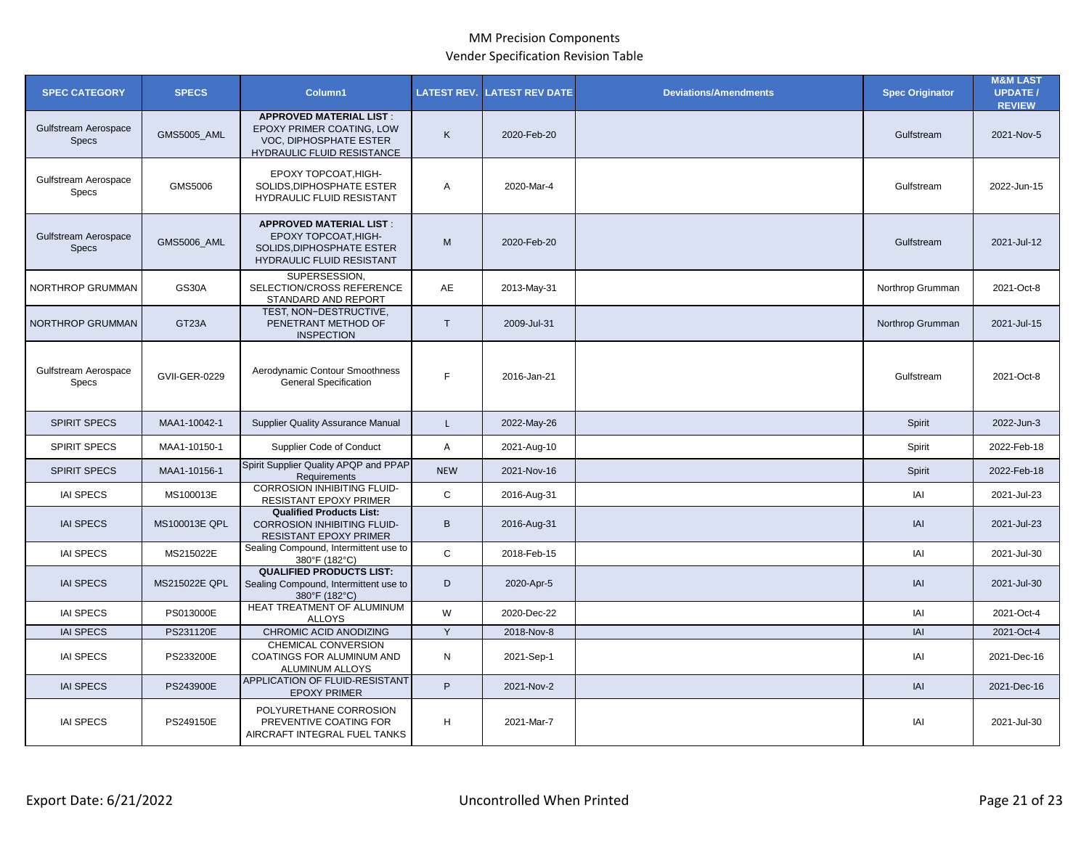| <b>SPEC CATEGORY</b>                 | <b>SPECS</b>         | Column1                                                                                                             | <b>LATEST REV.</b> | <b>LATEST REV DATE</b> | <b>Deviations/Amendments</b> | <b>Spec Originator</b> | <b>M&amp;M LAST</b><br><b>UPDATE/</b><br><b>REVIEW</b> |
|--------------------------------------|----------------------|---------------------------------------------------------------------------------------------------------------------|--------------------|------------------------|------------------------------|------------------------|--------------------------------------------------------|
| Gulfstream Aerospace<br><b>Specs</b> | GMS5005_AML          | <b>APPROVED MATERIAL LIST:</b><br>EPOXY PRIMER COATING, LOW<br>VOC, DIPHOSPHATE ESTER<br>HYDRAULIC FLUID RESISTANCE | K                  | 2020-Feb-20            |                              | Gulfstream             | 2021-Nov-5                                             |
| Gulfstream Aerospace<br>Specs        | GMS5006              | EPOXY TOPCOAT, HIGH-<br>SOLIDS, DIPHOSPHATE ESTER<br>HYDRAULIC FLUID RESISTANT                                      | A                  | 2020-Mar-4             |                              | Gulfstream             | 2022-Jun-15                                            |
| Gulfstream Aerospace<br><b>Specs</b> | <b>GMS5006_AML</b>   | <b>APPROVED MATERIAL LIST:</b><br>EPOXY TOPCOAT, HIGH-<br>SOLIDS, DIPHOSPHATE ESTER<br>HYDRAULIC FLUID RESISTANT    | M                  | 2020-Feb-20            |                              | Gulfstream             | 2021-Jul-12                                            |
| <b>NORTHROP GRUMMAN</b>              | <b>GS30A</b>         | SUPERSESSION,<br>SELECTION/CROSS REFERENCE<br>STANDARD AND REPORT                                                   | AE                 | 2013-May-31            |                              | Northrop Grumman       | 2021-Oct-8                                             |
| NORTHROP GRUMMAN                     | GT23A                | TEST, NON-DESTRUCTIVE,<br>PENETRANT METHOD OF<br><b>INSPECTION</b>                                                  | T                  | 2009-Jul-31            |                              | Northrop Grumman       | 2021-Jul-15                                            |
| Gulfstream Aerospace<br><b>Specs</b> | <b>GVII-GER-0229</b> | Aerodynamic Contour Smoothness<br><b>General Specification</b>                                                      | F                  | 2016-Jan-21            |                              | Gulfstream             | 2021-Oct-8                                             |
| <b>SPIRIT SPECS</b>                  | MAA1-10042-1         | <b>Supplier Quality Assurance Manual</b>                                                                            | $\mathsf{L}$       | 2022-May-26            |                              | Spirit                 | 2022-Jun-3                                             |
| <b>SPIRIT SPECS</b>                  | MAA1-10150-1         | Supplier Code of Conduct                                                                                            | A                  | 2021-Aug-10            |                              | Spirit                 | 2022-Feb-18                                            |
| <b>SPIRIT SPECS</b>                  | MAA1-10156-1         | Spirit Supplier Quality APQP and PPAP<br>Requirements                                                               | <b>NEW</b>         | 2021-Nov-16            |                              | Spirit                 | 2022-Feb-18                                            |
| <b>IAI SPECS</b>                     | MS100013E            | <b>CORROSION INHIBITING FLUID-</b><br>RESISTANT EPOXY PRIMER                                                        | C                  | 2016-Aug-31            |                              | IAI                    | 2021-Jul-23                                            |
| <b>IAI SPECS</b>                     | MS100013E QPL        | <b>Qualified Products List:</b><br><b>CORROSION INHIBITING FLUID-</b><br>RESISTANT EPOXY PRIMER                     | B                  | 2016-Aug-31            |                              | IAI                    | 2021-Jul-23                                            |
| <b>IAI SPECS</b>                     | MS215022E            | Sealing Compound, Intermittent use to<br>380°F (182°C)                                                              | $\mathsf{C}$       | 2018-Feb-15            |                              | IAI                    | 2021-Jul-30                                            |
| <b>IAI SPECS</b>                     | MS215022E QPL        | <b>QUALIFIED PRODUCTS LIST:</b><br>Sealing Compound, Intermittent use to<br>380°F (182°C)                           | D                  | 2020-Apr-5             |                              | IAI                    | 2021-Jul-30                                            |
| <b>IAI SPECS</b>                     | PS013000E            | HEAT TREATMENT OF ALUMINUM<br><b>ALLOYS</b>                                                                         | W                  | 2020-Dec-22            |                              | IAI                    | 2021-Oct-4                                             |
| <b>IAI SPECS</b>                     | PS231120E            | CHROMIC ACID ANODIZING                                                                                              | Y                  | 2018-Nov-8             |                              | <b>IAI</b>             | 2021-Oct-4                                             |
| <b>IAI SPECS</b>                     | PS233200E            | <b>CHEMICAL CONVERSION</b><br>COATINGS FOR ALUMINUM AND<br>ALUMINUM ALLOYS                                          | N                  | 2021-Sep-1             |                              | IAI                    | 2021-Dec-16                                            |
| <b>IAI SPECS</b>                     | PS243900E            | APPLICATION OF FLUID-RESISTANT<br><b>EPOXY PRIMER</b>                                                               | P                  | 2021-Nov-2             |                              | IAI                    | 2021-Dec-16                                            |
| <b>IAI SPECS</b>                     | PS249150E            | POLYURETHANE CORROSION<br>PREVENTIVE COATING FOR<br>AIRCRAFT INTEGRAL FUEL TANKS                                    | H.                 | 2021-Mar-7             |                              | IAI                    | 2021-Jul-30                                            |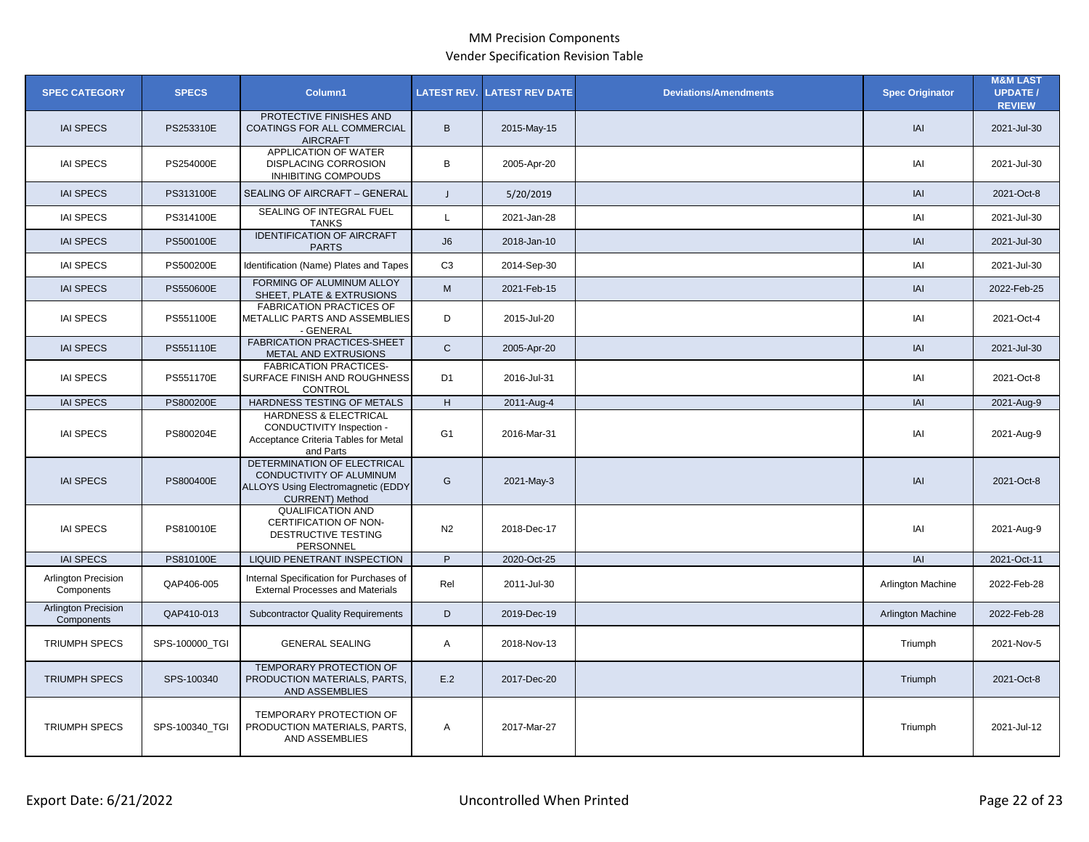| <b>SPEC CATEGORY</b>                     | <b>SPECS</b>   | Column1                                                                                                                 | <b>LATEST REV.</b> | <b>LATEST REV DATE</b> | <b>Deviations/Amendments</b> | <b>Spec Originator</b> | <b>M&amp;M LAST</b><br><b>UPDATE /</b><br><b>REVIEW</b> |
|------------------------------------------|----------------|-------------------------------------------------------------------------------------------------------------------------|--------------------|------------------------|------------------------------|------------------------|---------------------------------------------------------|
| <b>IAI SPECS</b>                         | PS253310E      | PROTECTIVE FINISHES AND<br>COATINGS FOR ALL COMMERCIAL<br><b>AIRCRAFT</b>                                               | B                  | 2015-May-15            |                              | <b>IAI</b>             | 2021-Jul-30                                             |
| <b>IAI SPECS</b>                         | PS254000E      | APPLICATION OF WATER<br><b>DISPLACING CORROSION</b><br><b>INHIBITING COMPOUDS</b>                                       | B                  | 2005-Apr-20            |                              | IAI                    | 2021-Jul-30                                             |
| <b>IAI SPECS</b>                         | PS313100E      | SEALING OF AIRCRAFT - GENERAL                                                                                           | $\mathsf{J}$       | 5/20/2019              |                              | A                      | 2021-Oct-8                                              |
| <b>IAI SPECS</b>                         | PS314100E      | SEALING OF INTEGRAL FUEL<br><b>TANKS</b>                                                                                | $\mathsf{L}$       | 2021-Jan-28            |                              | IAI                    | 2021-Jul-30                                             |
| <b>IAI SPECS</b>                         | PS500100E      | <b>IDENTIFICATION OF AIRCRAFT</b><br><b>PARTS</b>                                                                       | J6                 | 2018-Jan-10            |                              | IAI                    | 2021-Jul-30                                             |
| <b>IAI SPECS</b>                         | PS500200E      | Identification (Name) Plates and Tapes                                                                                  | C <sub>3</sub>     | 2014-Sep-30            |                              | IAI                    | 2021-Jul-30                                             |
| <b>IAI SPECS</b>                         | PS550600E      | FORMING OF ALUMINUM ALLOY<br>SHEET, PLATE & EXTRUSIONS                                                                  | M                  | 2021-Feb-15            |                              | IAI                    | 2022-Feb-25                                             |
| <b>IAI SPECS</b>                         | PS551100E      | <b>FABRICATION PRACTICES OF</b><br>METALLIC PARTS AND ASSEMBLIES<br>- GENERAL                                           | D                  | 2015-Jul-20            |                              | IAI                    | 2021-Oct-4                                              |
| <b>IAI SPECS</b>                         | PS551110E      | <b>FABRICATION PRACTICES-SHEET</b><br>METAL AND EXTRUSIONS                                                              | $\mathsf{C}$       | 2005-Apr-20            |                              | A                      | 2021-Jul-30                                             |
| <b>IAI SPECS</b>                         | PS551170E      | <b>FABRICATION PRACTICES-</b><br>SURFACE FINISH AND ROUGHNESS<br><b>CONTROL</b>                                         | D <sub>1</sub>     | 2016-Jul-31            |                              | IAI                    | 2021-Oct-8                                              |
| <b>IAI SPECS</b>                         | PS800200E      | HARDNESS TESTING OF METALS                                                                                              | H                  | 2011-Aug-4             |                              | A                      | 2021-Aug-9                                              |
| <b>IAI SPECS</b>                         | PS800204E      | HARDNESS & ELECTRICAL<br>CONDUCTIVITY Inspection -<br>Acceptance Criteria Tables for Metal<br>and Parts                 | G <sub>1</sub>     | 2016-Mar-31            |                              | IAI                    | 2021-Aug-9                                              |
| <b>IAI SPECS</b>                         | PS800400E      | DETERMINATION OF ELECTRICAL<br>CONDUCTIVITY OF ALUMINUM<br>ALLOYS Using Electromagnetic (EDDY<br><b>CURRENT)</b> Method | G                  | 2021-May-3             |                              | IAI                    | 2021-Oct-8                                              |
| <b>IAI SPECS</b>                         | PS810010E      | <b>QUALIFICATION AND</b><br>CERTIFICATION OF NON-<br>DESTRUCTIVE TESTING<br>PERSONNEL                                   | N <sub>2</sub>     | 2018-Dec-17            |                              | IAI                    | 2021-Aug-9                                              |
| <b>IAI SPECS</b>                         | PS810100E      | LIQUID PENETRANT INSPECTION                                                                                             | P                  | 2020-Oct-25            |                              | <b>IAI</b>             | 2021-Oct-11                                             |
| <b>Arlington Precision</b><br>Components | QAP406-005     | Internal Specification for Purchases of<br><b>External Processes and Materials</b>                                      | Rel                | 2011-Jul-30            |                              | Arlington Machine      | 2022-Feb-28                                             |
| <b>Arlington Precision</b><br>Components | QAP410-013     | <b>Subcontractor Quality Requirements</b>                                                                               | D                  | 2019-Dec-19            |                              | Arlington Machine      | 2022-Feb-28                                             |
| <b>TRIUMPH SPECS</b>                     | SPS-100000 TGI | <b>GENERAL SEALING</b>                                                                                                  | A                  | 2018-Nov-13            |                              | Triumph                | 2021-Nov-5                                              |
| <b>TRIUMPH SPECS</b>                     | SPS-100340     | <b>TEMPORARY PROTECTION OF</b><br>PRODUCTION MATERIALS, PARTS,<br>AND ASSEMBLIES                                        | E.2                | 2017-Dec-20            |                              | Triumph                | 2021-Oct-8                                              |
| <b>TRIUMPH SPECS</b>                     | SPS-100340 TGI | TEMPORARY PROTECTION OF<br>PRODUCTION MATERIALS, PARTS,<br>AND ASSEMBLIES                                               | Α                  | 2017-Mar-27            |                              | Triumph                | 2021-Jul-12                                             |